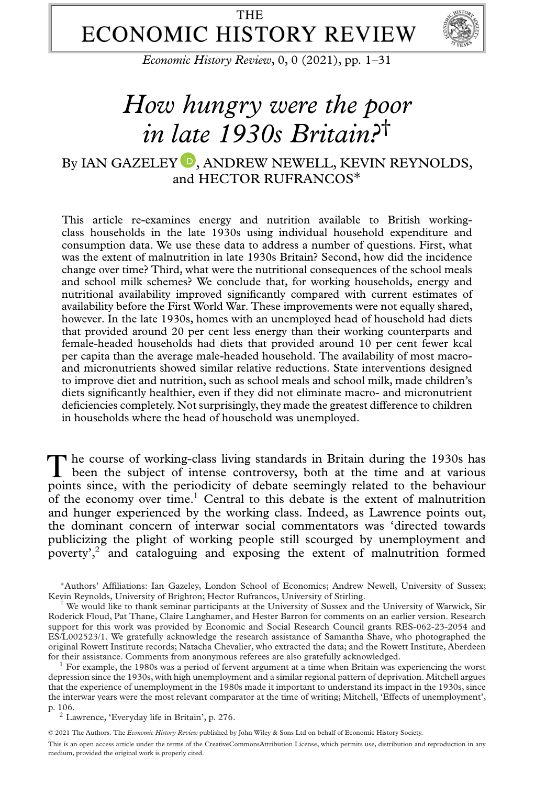# **THE ECONOMIC HISTORY REVIEW**



*Economic History Review*, 0, 0 (2021), pp. 1–31

# *How hungry were the poor in late 1930s Britain?*†

## By IAN GAZELEY  $\textcolor{blue}{\bullet}$ [,](https://orcid.org/0000-0002-4277-1001) ANDREW NEWELL, KEVIN REYNOLDS, and HECTOR RUFRANCOS∗

This article re-examines energy and nutrition available to British workingclass households in the late 1930s using individual household expenditure and consumption data. We use these data to address a number of questions. First, what was the extent of malnutrition in late 1930s Britain? Second, how did the incidence change over time? Third, what were the nutritional consequences of the school meals and school milk schemes? We conclude that, for working households, energy and nutritional availability improved significantly compared with current estimates of availability before the First World War. These improvements were not equally shared, however. In the late 1930s, homes with an unemployed head of household had diets that provided around 20 per cent less energy than their working counterparts and female-headed households had diets that provided around 10 per cent fewer kcal per capita than the average male-headed household. The availability of most macroand micronutrients showed similar relative reductions. State interventions designed to improve diet and nutrition, such as school meals and school milk, made children's diets significantly healthier, even if they did not eliminate macro- and micronutrient deficiencies completely. Not surprisingly, they made the greatest difference to children in households where the head of household was unemployed.

The course of working-class living standards in Britain during the 1930s has been the subject of intense controversy, both at the time and at various points since, with the periodicity of debate seemingly related to the behaviour of the economy over time.<sup>1</sup> Central to this debate is the extent of malnutrition and hunger experienced by the working class. Indeed, as Lawrence points out, the dominant concern of interwar social commentators was 'directed towards publicizing the plight of working people still scourged by unemployment and poverty<sup>2</sup>, and cataloguing and exposing the extent of malnutrition formed

∗Authors' Affiliations: Ian Gazeley, London School of Economics; Andrew Newell, University of Sussex; Kevin Reynolds, University of Brighton; Hector Rufrancos, University of Stirling. †

We would like to thank seminar participants at the University of Sussex and the University of Warwick, Sir Roderick Floud, Pat Thane, Claire Langhamer, and Hester Barron for comments on an earlier version. Research support for this work was provided by Economic and Social Research Council grants RES-062-23-2054 and ES/L002523/1. We gratefully acknowledge the research assistance of Samantha Shave, who photographed the original Rowett Institute records; Natacha Chevalier, who extracted the data; and the Rowett Institute, Aberdeen for their assistance. Comments from anonymous referees are also gratefully acknowledged. <sup>1</sup> For example, the 1980s was a period of fervent argument at a time when Britain was experiencing the worst

depression since the 1930s, with high unemployment and a similar regional pattern of deprivation. Mitchell argues that the experience of unemployment in the 1980s made it important to understand its impact in the 1930s, since the interwar years were the most relevant comparator at the time of writing; Mitchell, 'Effects of unemployment', p. 106. <sup>2</sup> Lawrence, 'Everyday life in Britain', p. 276.

© 2021 The Authors. The *Economic History Review* published by John Wiley & Sons Ltd on behalf of Economic History Society. This is an open access article under the terms of the [CreativeCommonsAttribution](http://creativecommons.org/licenses/by/4.0/) License, which permits use, distribution and reproduction in any medium, provided the original work is properly cited.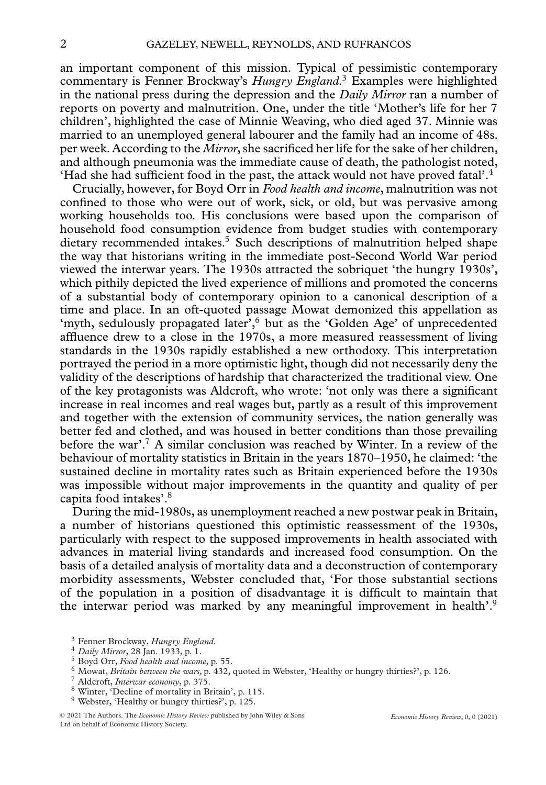an important component of this mission. Typical of pessimistic contemporary commentary is Fenner Brockway's *Hungry England*. <sup>3</sup> Examples were highlighted in the national press during the depression and the *Daily Mirror* ran a number of reports on poverty and malnutrition. One, under the title 'Mother's life for her 7 children', highlighted the case of Minnie Weaving, who died aged 37. Minnie was married to an unemployed general labourer and the family had an income of 48s. per week. According to the *Mirror*, she sacrificed her life for the sake of her children, and although pneumonia was the immediate cause of death, the pathologist noted, 'Had she had sufficient food in the past, the attack would not have proved fatal'.4

Crucially, however, for Boyd Orr in *Food health and income*, malnutrition was not confined to those who were out of work, sick, or old, but was pervasive among working households too. His conclusions were based upon the comparison of household food consumption evidence from budget studies with contemporary dietary recommended intakes.<sup>5</sup> Such descriptions of malnutrition helped shape the way that historians writing in the immediate post-Second World War period viewed the interwar years. The 1930s attracted the sobriquet 'the hungry 1930s', which pithily depicted the lived experience of millions and promoted the concerns of a substantial body of contemporary opinion to a canonical description of a time and place. In an oft-quoted passage Mowat demonized this appellation as 'myth, sedulously propagated later',<sup>6</sup> but as the 'Golden Age' of unprecedented affluence drew to a close in the 1970s, a more measured reassessment of living standards in the 1930s rapidly established a new orthodoxy. This interpretation portrayed the period in a more optimistic light, though did not necessarily deny the validity of the descriptions of hardship that characterized the traditional view. One of the key protagonists was Aldcroft, who wrote: 'not only was there a significant increase in real incomes and real wages but, partly as a result of this improvement and together with the extension of community services, the nation generally was better fed and clothed, and was housed in better conditions than those prevailing before the war'.<sup>7</sup> A similar conclusion was reached by Winter. In a review of the behaviour of mortality statistics in Britain in the years 1870–1950, he claimed: 'the sustained decline in mortality rates such as Britain experienced before the 1930s was impossible without major improvements in the quantity and quality of per capita food intakes'.8

During the mid-1980s, as unemployment reached a new postwar peak in Britain, a number of historians questioned this optimistic reassessment of the 1930s, particularly with respect to the supposed improvements in health associated with advances in material living standards and increased food consumption. On the basis of a detailed analysis of mortality data and a deconstruction of contemporary morbidity assessments, Webster concluded that, 'For those substantial sections of the population in a position of disadvantage it is difficult to maintain that the interwar period was marked by any meaningful improvement in health'.9

- 
- 
- <sup>9</sup> Webster, 'Healthy or hungry thirties?', p. 125.

 $^3$  Fenner Brockway, *Hungry England*.<br> $^4$  *Daily Mirror*, 28 Jan. 1933, p. 1.<br> $^5$  Boyd Orr, *Food health and income*, p. 55.<br> $^6$  Mowat, *Britain between the wars*, p. 432, quoted in Webster, 'Healthy or hungry thirti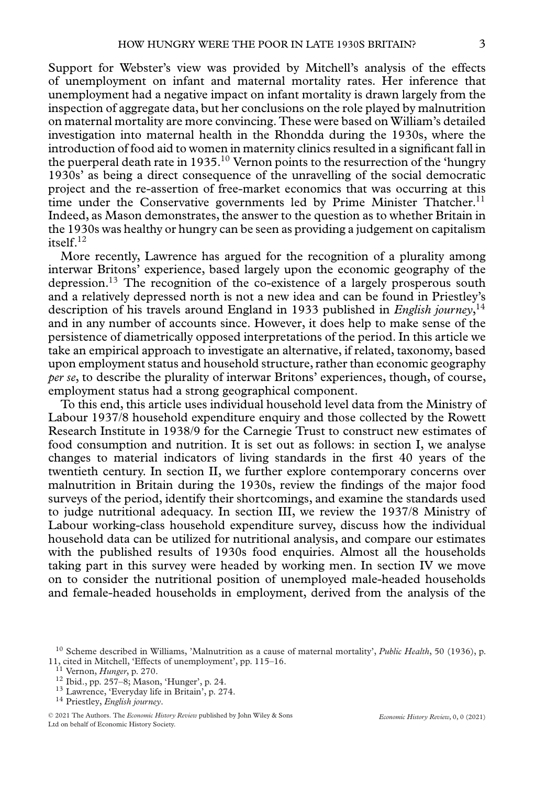Support for Webster's view was provided by Mitchell's analysis of the effects of unemployment on infant and maternal mortality rates. Her inference that unemployment had a negative impact on infant mortality is drawn largely from the inspection of aggregate data, but her conclusions on the role played by malnutrition on maternal mortality are more convincing. These were based on William's detailed investigation into maternal health in the Rhondda during the 1930s, where the introduction of food aid to women in maternity clinics resulted in a significant fall in the puerperal death rate in 1935.<sup>10</sup> Vernon points to the resurrection of the 'hungry 1930s' as being a direct consequence of the unravelling of the social democratic project and the re-assertion of free-market economics that was occurring at this time under the Conservative governments led by Prime Minister Thatcher.<sup>11</sup> Indeed, as Mason demonstrates, the answer to the question as to whether Britain in the 1930s was healthy or hungry can be seen as providing a judgement on capitalism itself.12

More recently, Lawrence has argued for the recognition of a plurality among interwar Britons' experience, based largely upon the economic geography of the depression.<sup>13</sup> The recognition of the co-existence of a largely prosperous south and a relatively depressed north is not a new idea and can be found in Priestley's description of his travels around England in 1933 published in *English journey*, 14 and in any number of accounts since. However, it does help to make sense of the persistence of diametrically opposed interpretations of the period. In this article we take an empirical approach to investigate an alternative, if related, taxonomy, based upon employment status and household structure, rather than economic geography *per se*, to describe the plurality of interwar Britons' experiences, though, of course, employment status had a strong geographical component.

To this end, this article uses individual household level data from the Ministry of Labour 1937/8 household expenditure enquiry and those collected by the Rowett Research Institute in 1938/9 for the Carnegie Trust to construct new estimates of food consumption and nutrition. It is set out as follows: in section I, we analyse changes to material indicators of living standards in the first 40 years of the twentieth century. In section II, we further explore contemporary concerns over malnutrition in Britain during the 1930s, review the findings of the major food surveys of the period, identify their shortcomings, and examine the standards used to judge nutritional adequacy. In section III, we review the 1937/8 Ministry of Labour working-class household expenditure survey, discuss how the individual household data can be utilized for nutritional analysis, and compare our estimates with the published results of 1930s food enquiries. Almost all the households taking part in this survey were headed by working men. In section IV we move on to consider the nutritional position of unemployed male-headed households and female-headed households in employment, derived from the analysis of the

<sup>&</sup>lt;sup>10</sup> Scheme described in Williams, 'Malnutrition as a cause of maternal mortality', *Public Health*, 50 (1936), p. 11, cited in Mitchell, 'Effects of unemployment', pp. 115–16.

<sup>&</sup>lt;sup>11</sup> Vernon, *Hunger*, p. 270.<br><sup>12</sup> Ibid., pp. 257–8; Mason, 'Hunger', p. 24.<br><sup>13</sup> Lawrence, 'Everyday life in Britain', p. 274.<br><sup>14</sup> Priestley, *English journey*.

<sup>© 2021</sup> The Authors. The *Economic History Review* published by John Wiley & Sons Ltd on behalf of Economic History Society.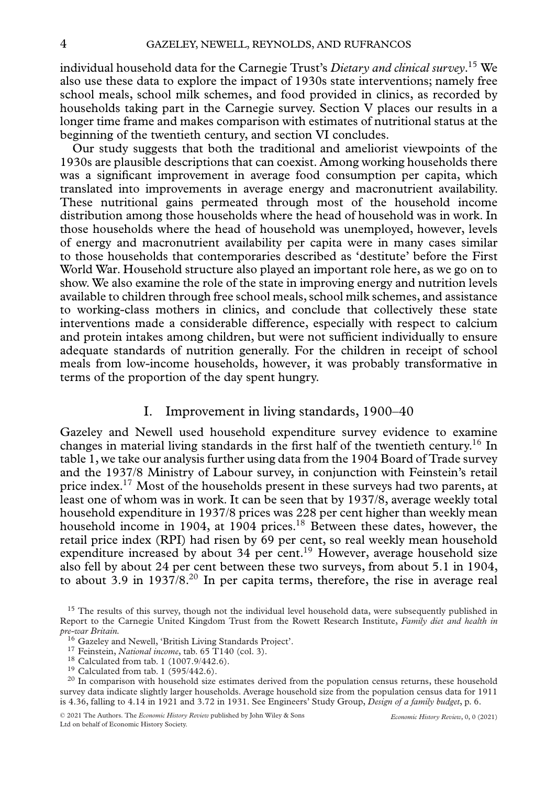individual household data for the Carnegie Trust's *Dietary and clinical survey*. <sup>15</sup> We also use these data to explore the impact of 1930s state interventions; namely free school meals, school milk schemes, and food provided in clinics, as recorded by households taking part in the Carnegie survey. Section V places our results in a longer time frame and makes comparison with estimates of nutritional status at the beginning of the twentieth century, and section VI concludes.

Our study suggests that both the traditional and ameliorist viewpoints of the 1930s are plausible descriptions that can coexist. Among working households there was a significant improvement in average food consumption per capita, which translated into improvements in average energy and macronutrient availability. These nutritional gains permeated through most of the household income distribution among those households where the head of household was in work. In those households where the head of household was unemployed, however, levels of energy and macronutrient availability per capita were in many cases similar to those households that contemporaries described as 'destitute' before the First World War. Household structure also played an important role here, as we go on to show. We also examine the role of the state in improving energy and nutrition levels available to children through free school meals, school milk schemes, and assistance to working-class mothers in clinics, and conclude that collectively these state interventions made a considerable difference, especially with respect to calcium and protein intakes among children, but were not sufficient individually to ensure adequate standards of nutrition generally. For the children in receipt of school meals from low-income households, however, it was probably transformative in terms of the proportion of the day spent hungry.

#### I. Improvement in living standards, 1900–40

Gazeley and Newell used household expenditure survey evidence to examine changes in material living standards in the first half of the twentieth century.16 In table 1, we take our analysis further using data from the 1904 Board of Trade survey and the 1937/8 Ministry of Labour survey, in conjunction with Feinstein's retail price index.17 Most of the households present in these surveys had two parents, at least one of whom was in work. It can be seen that by 1937/8, average weekly total household expenditure in 1937/8 prices was 228 per cent higher than weekly mean household income in 1904, at 1904 prices.<sup>18</sup> Between these dates, however, the retail price index (RPI) had risen by 69 per cent, so real weekly mean household expenditure increased by about 34 per cent.<sup>19</sup> However, average household size also fell by about 24 per cent between these two surveys, from about 5.1 in 1904, to about 3.9 in  $1937/8$ <sup>20</sup> In per capita terms, therefore, the rise in average real

<sup>&</sup>lt;sup>15</sup> The results of this survey, though not the individual level household data, were subsequently published in Report to the Carnegie United Kingdom Trust from the Rowett Research Institute, *Family diet and health in*

<sup>&</sup>lt;sup>16</sup> Gazeley and Newell, 'British Living Standards Project'.<br>
<sup>17</sup> Feinstein, *National income*, tab. 65 T140 (col. 3).<br>
<sup>18</sup> Calculated from tab. 1 (1007.9/442.6).<br>
<sup>19</sup> Calculated from tab. 1 (595/442.6).<br>
<sup>20</sup> In compa survey data indicate slightly larger households. Average household size from the population census data for 1911 is 4.36, falling to 4.14 in 1921 and 3.72 in 1931. See Engineers' Study Group, *Design of a family budget*, p. 6.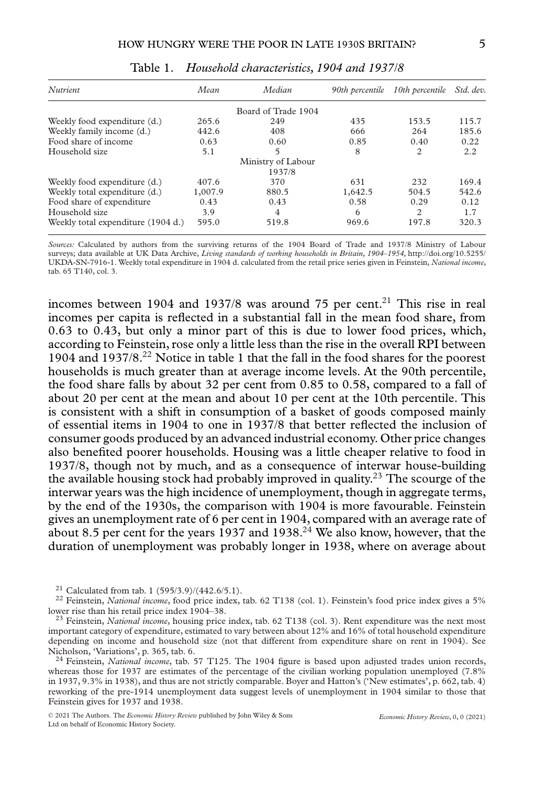| <b>Nutrient</b>                    | Mean    | Median              | 90th percentile | 10th percentile Std. dev. |       |
|------------------------------------|---------|---------------------|-----------------|---------------------------|-------|
|                                    |         | Board of Trade 1904 |                 |                           |       |
| Weekly food expenditure (d.)       | 265.6   | 249                 | 435             | 153.5                     | 115.7 |
| Weekly family income (d.)          | 442.6   | 408                 | 666             | 264                       | 185.6 |
| Food share of income               | 0.63    | 0.60                | 0.85            | 0.40                      | 0.22  |
| Household size                     | 5.1     | 5                   | 8               | 2                         | 2.2   |
|                                    |         | Ministry of Labour  |                 |                           |       |
|                                    |         | 1937/8              |                 |                           |       |
| Weekly food expenditure (d.)       | 407.6   | 370                 | 631             | 232                       | 169.4 |
| Weekly total expenditure (d.)      | 1,007.9 | 880.5               | 1,642.5         | 504.5                     | 542.6 |
| Food share of expenditure          | 0.43    | 0.43                | 0.58            | 0.29                      | 0.12  |
| Household size                     | 3.9     | 4                   | 6               | 2                         | 1.7   |
| Weekly total expenditure (1904 d.) | 595.0   | 519.8               | 969.6           | 197.8                     | 320.3 |

Table 1. *Household characteristics, 1904 and 1937/8*

*Sources:* Calculated by authors from the surviving returns of the 1904 Board of Trade and 1937/8 Ministry of Labour surveys; data available at UK Data Archive, *Living standards of working households in Britain, 1904–1954,* [http://doi.org/10.5255/](http://doi.org/10.5255/UKDA-SN-7916-1) [UKDA-SN-7916-1.](http://doi.org/10.5255/UKDA-SN-7916-1) Weekly total expenditure in 1904 d. calculated from the retail price series given in Feinstein, *National income*, tab. 65 T140, col. 3.

incomes between 1904 and 1937/8 was around 75 per cent.<sup>21</sup> This rise in real incomes per capita is reflected in a substantial fall in the mean food share, from 0.63 to 0.43, but only a minor part of this is due to lower food prices, which, according to Feinstein, rose only a little less than the rise in the overall RPI between 1904 and 1937/8.22 Notice in table 1 that the fall in the food shares for the poorest households is much greater than at average income levels. At the 90th percentile, the food share falls by about 32 per cent from 0.85 to 0.58, compared to a fall of about 20 per cent at the mean and about 10 per cent at the 10th percentile. This is consistent with a shift in consumption of a basket of goods composed mainly of essential items in 1904 to one in 1937/8 that better reflected the inclusion of consumer goods produced by an advanced industrial economy. Other price changes also benefited poorer households. Housing was a little cheaper relative to food in 1937/8, though not by much, and as a consequence of interwar house-building the available housing stock had probably improved in quality.<sup>23</sup> The scourge of the interwar years was the high incidence of unemployment, though in aggregate terms, by the end of the 1930s, the comparison with 1904 is more favourable. Feinstein gives an unemployment rate of 6 per cent in 1904, compared with an average rate of about 8.5 per cent for the years 1937 and 1938.<sup>24</sup> We also know, however, that the duration of unemployment was probably longer in 1938, where on average about

whereas those for 1937 are estimates of the percentage of the civilian working population unemployed (7.8%) in 1937, 9.3% in 1938), and thus are not strictly comparable. Boyer and Hatton's ('New estimates', p. 662, tab. 4) reworking of the pre-1914 unemployment data suggest levels of unemployment in 1904 similar to those that Feinstein gives for 1937 and 1938.

<sup>&</sup>lt;sup>21</sup> Calculated from tab. 1 (595/3.9)/(442.6/5.1).<br><sup>22</sup> Feinstein, *National income*, food price index, tab. 62 T138 (col. 1). Feinstein's food price index gives a 5%<br>lower rise than his retail price index 1904–38.

<sup>&</sup>lt;sup>23</sup> Feinstein, *National income*, housing price index, tab. 62 T138 (col. 3). Rent expenditure was the next most important category of expenditure, estimated to vary between about 12% and 16% of total household expenditure depending on income and household size (not that different from expenditure share on rent in 1904). See Nicholson, 'Variations', p. 365, tab. 6. <sup>24</sup> Feinstein, *National income*, tab. 57 T125. The 1904 figure is based upon adjusted trades union records,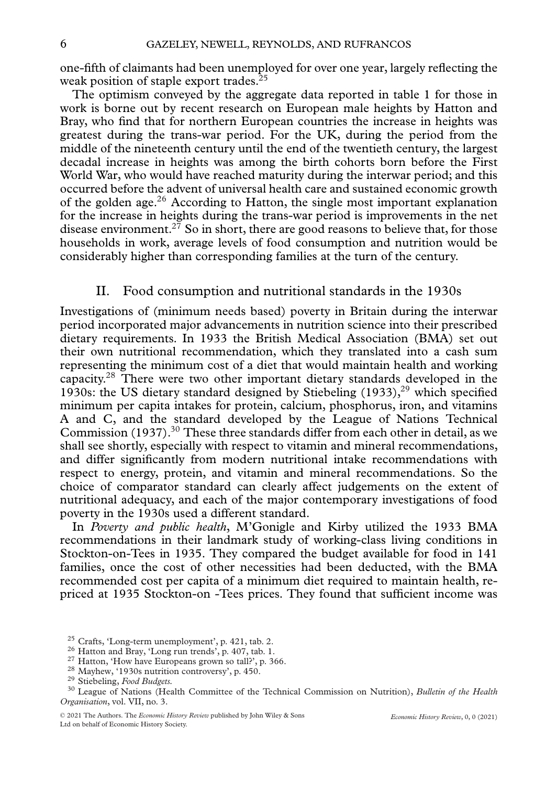one-fifth of claimants had been unemployed for over one year, largely reflecting the weak position of staple export trades.<sup>25</sup>

The optimism conveyed by the aggregate data reported in table 1 for those in work is borne out by recent research on European male heights by Hatton and Bray, who find that for northern European countries the increase in heights was greatest during the trans-war period. For the UK, during the period from the middle of the nineteenth century until the end of the twentieth century, the largest decadal increase in heights was among the birth cohorts born before the First World War, who would have reached maturity during the interwar period; and this occurred before the advent of universal health care and sustained economic growth of the golden age.<sup>26</sup> According to Hatton, the single most important explanation for the increase in heights during the trans-war period is improvements in the net disease environment.<sup>27</sup> So in short, there are good reasons to believe that, for those households in work, average levels of food consumption and nutrition would be considerably higher than corresponding families at the turn of the century.

#### II. Food consumption and nutritional standards in the 1930s

Investigations of (minimum needs based) poverty in Britain during the interwar period incorporated major advancements in nutrition science into their prescribed dietary requirements. In 1933 the British Medical Association (BMA) set out their own nutritional recommendation, which they translated into a cash sum representing the minimum cost of a diet that would maintain health and working capacity.28 There were two other important dietary standards developed in the 1930s: the US dietary standard designed by Stiebeling  $(1933)$ ,<sup>29</sup> which specified minimum per capita intakes for protein, calcium, phosphorus, iron, and vitamins A and C, and the standard developed by the League of Nations Technical Commission (1937).<sup>30</sup> These three standards differ from each other in detail, as we shall see shortly, especially with respect to vitamin and mineral recommendations, and differ significantly from modern nutritional intake recommendations with respect to energy, protein, and vitamin and mineral recommendations. So the choice of comparator standard can clearly affect judgements on the extent of nutritional adequacy, and each of the major contemporary investigations of food poverty in the 1930s used a different standard.

In *Poverty and public health*, M'Gonigle and Kirby utilized the 1933 BMA recommendations in their landmark study of working-class living conditions in Stockton-on-Tees in 1935. They compared the budget available for food in 141 families, once the cost of other necessities had been deducted, with the BMA recommended cost per capita of a minimum diet required to maintain health, repriced at 1935 Stockton-on -Tees prices. They found that sufficient income was

<sup>&</sup>lt;sup>25</sup> Crafts, 'Long-term unemployment', p. 421, tab. 2.<br>
<sup>26</sup> Hatton and Bray, 'Long run trends', p. 407, tab. 1.<br>
<sup>27</sup> Hatton, 'How have Europeans grown so tall?', p. 366.<br>
<sup>28</sup> Mayhew, '1930s nutrition controversy', p. 4 *Organisation*, vol. VII, no. 3.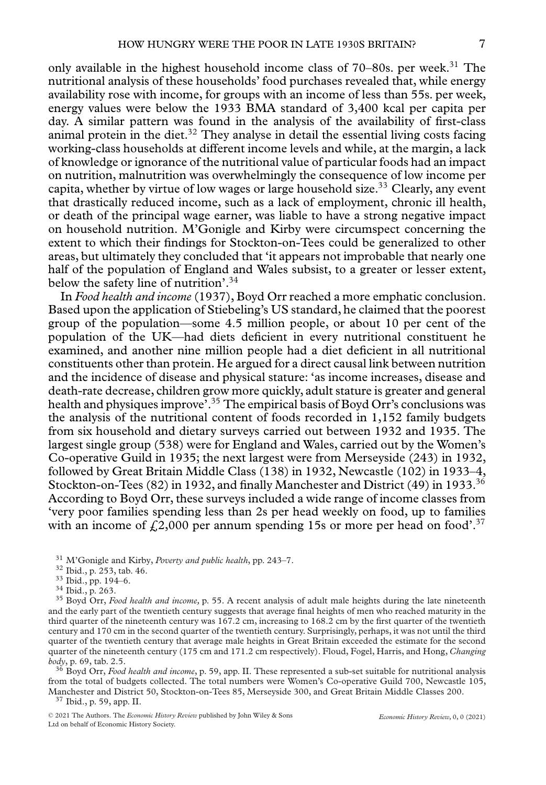only available in the highest household income class of 70–80s. per week.<sup>31</sup> The nutritional analysis of these households' food purchases revealed that, while energy availability rose with income, for groups with an income of less than 55s. per week, energy values were below the 1933 BMA standard of 3,400 kcal per capita per day. A similar pattern was found in the analysis of the availability of first-class animal protein in the diet. $32$  They analyse in detail the essential living costs facing working-class households at different income levels and while, at the margin, a lack of knowledge or ignorance of the nutritional value of particular foods had an impact on nutrition, malnutrition was overwhelmingly the consequence of low income per capita, whether by virtue of low wages or large household size.<sup>33</sup> Clearly, any event that drastically reduced income, such as a lack of employment, chronic ill health, or death of the principal wage earner, was liable to have a strong negative impact on household nutrition. M'Gonigle and Kirby were circumspect concerning the extent to which their findings for Stockton-on-Tees could be generalized to other areas, but ultimately they concluded that 'it appears not improbable that nearly one half of the population of England and Wales subsist, to a greater or lesser extent, below the safety line of nutrition'.<sup>34</sup>

In *Food health and income* (1937), Boyd Orr reached a more emphatic conclusion. Based upon the application of Stiebeling's US standard, he claimed that the poorest group of the population—some 4.5 million people, or about 10 per cent of the population of the UK—had diets deficient in every nutritional constituent he examined, and another nine million people had a diet deficient in all nutritional constituents other than protein. He argued for a direct causal link between nutrition and the incidence of disease and physical stature: 'as income increases, disease and death-rate decrease, children grow more quickly, adult stature is greater and general health and physiques improve<sup>7</sup>.<sup>35</sup> The empirical basis of Boyd Orr's conclusions was the analysis of the nutritional content of foods recorded in 1,152 family budgets from six household and dietary surveys carried out between 1932 and 1935. The largest single group (538) were for England and Wales, carried out by the Women's Co-operative Guild in 1935; the next largest were from Merseyside (243) in 1932, followed by Great Britain Middle Class (138) in 1932, Newcastle (102) in 1933–4, Stockton-on-Tees (82) in 1932, and finally Manchester and District (49) in 1933.<sup>36</sup> According to Boyd Orr, these surveys included a wide range of income classes from 'very poor families spending less than 2s per head weekly on food, up to families with an income of  $f_1(2,000)$  per annum spending 15s or more per head on food'.<sup>37</sup>

<sup>31</sup> M'Gonigle and Kirby, *Poverty and public health*, pp. 243–7.<br><sup>32</sup> Ibid., p. 253, tab. 46.<br><sup>33</sup> Ibid., pp. 194–6.<br><sup>34</sup> Ibid., p. 263.<br><sup>35</sup> Boyd Orr, *Food health and income*, p. 55. A recent analysis of adult male hei and the early part of the twentieth century suggests that average final heights of men who reached maturity in the third quarter of the nineteenth century was 167.2 cm, increasing to 168.2 cm by the first quarter of the twentieth century and 170 cm in the second quarter of the twentieth century. Surprisingly, perhaps, it was not until the third quarter of the twentieth century that average male heights in Great Britain exceeded the estimate for the second quarter of the nineteenth century (175 cm and 171.2 cm respectively). Floud, Fogel, Harris, and Hong, *Changing*

*body*, p. 69, tab. 2.5. <sup>36</sup> Boyd Orr, *Food health and income*, p. 59, app. II. These represented a sub-set suitable for nutritional analysis from the total of budgets collected. The total numbers were Women's Co-operative Guild 700, Newcastle 105, Manchester and District 50, Stockton-on-Tees 85, Merseyside 300, and Great Britain Middle Classes 200. <sup>37</sup> Ibid., p. 59, app. II.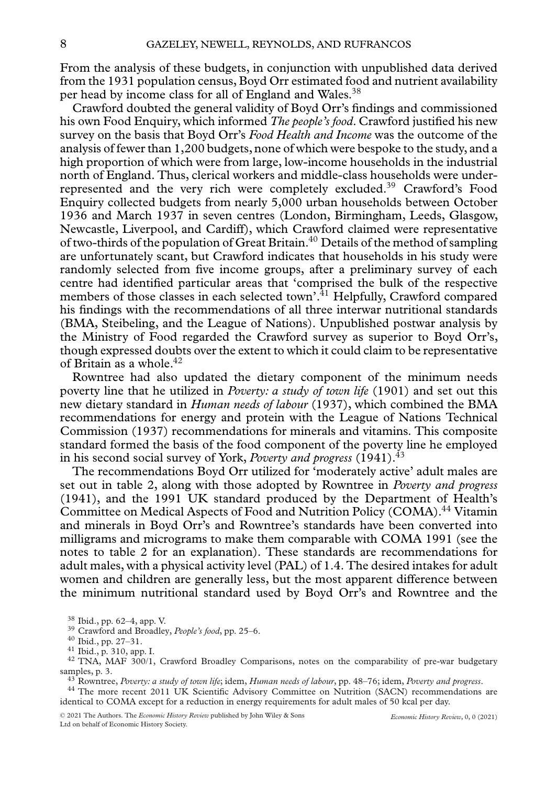From the analysis of these budgets, in conjunction with unpublished data derived from the 1931 population census, Boyd Orr estimated food and nutrient availability per head by income class for all of England and Wales.<sup>38</sup>

Crawford doubted the general validity of Boyd Orr's findings and commissioned his own Food Enquiry, which informed *The people's food*. Crawford justified his new survey on the basis that Boyd Orr's *Food Health and Income* was the outcome of the analysis of fewer than 1,200 budgets, none of which were bespoke to the study, and a high proportion of which were from large, low-income households in the industrial north of England. Thus, clerical workers and middle-class households were underrepresented and the very rich were completely excluded.<sup>39</sup> Crawford's Food Enquiry collected budgets from nearly 5,000 urban households between October 1936 and March 1937 in seven centres (London, Birmingham, Leeds, Glasgow, Newcastle, Liverpool, and Cardiff), which Crawford claimed were representative of two-thirds of the population of Great Britain.<sup>40</sup> Details of the method of sampling are unfortunately scant, but Crawford indicates that households in his study were randomly selected from five income groups, after a preliminary survey of each centre had identified particular areas that 'comprised the bulk of the respective members of those classes in each selected town'.<sup>41</sup> Helpfully, Crawford compared his findings with the recommendations of all three interwar nutritional standards (BMA, Steibeling, and the League of Nations). Unpublished postwar analysis by the Ministry of Food regarded the Crawford survey as superior to Boyd Orr's, though expressed doubts over the extent to which it could claim to be representative of Britain as a whole.<sup>42</sup>

Rowntree had also updated the dietary component of the minimum needs poverty line that he utilized in *Poverty: a study of town life* (1901) and set out this new dietary standard in *Human needs of labour* (1937), which combined the BMA recommendations for energy and protein with the League of Nations Technical Commission (1937) recommendations for minerals and vitamins. This composite standard formed the basis of the food component of the poverty line he employed in his second social survey of York, *Poverty and progress* (1941).43

The recommendations Boyd Orr utilized for 'moderately active' adult males are set out in table 2, along with those adopted by Rowntree in *Poverty and progress* (1941), and the 1991 UK standard produced by the Department of Health's Committee on Medical Aspects of Food and Nutrition Policy (COMA).<sup>44</sup> Vitamin and minerals in Boyd Orr's and Rowntree's standards have been converted into milligrams and micrograms to make them comparable with COMA 1991 (see the notes to table 2 for an explanation). These standards are recommendations for adult males, with a physical activity level (PAL) of 1.4. The desired intakes for adult women and children are generally less, but the most apparent difference between the minimum nutritional standard used by Boyd Orr's and Rowntree and the

identical to COMA except for a reduction in energy requirements for adult males of 50 kcal per day.

<sup>&</sup>lt;sup>38</sup> Ibid., pp. 62–4, app. V.<br><sup>39</sup> Crawford and Broadley, *People's food*, pp. 25–6.<br><sup>40</sup> Ibid., pp. 27–31.<br><sup>41</sup> Ibid., p. 310, app. I.<br><sup>42</sup> TNA, MAF 300/1, Crawford Broadley Comparisons, notes on the comparability of pre samples, p. 3.<br><sup>43</sup> Rowntree, *Poverty: a study of town life*; idem, *Human needs of labour*, pp. 48–76; idem, *Poverty and progress*.<br><sup>44</sup> The more recent 2011 UK Scientific Advisory Committee on Nutrition (SACN) recommen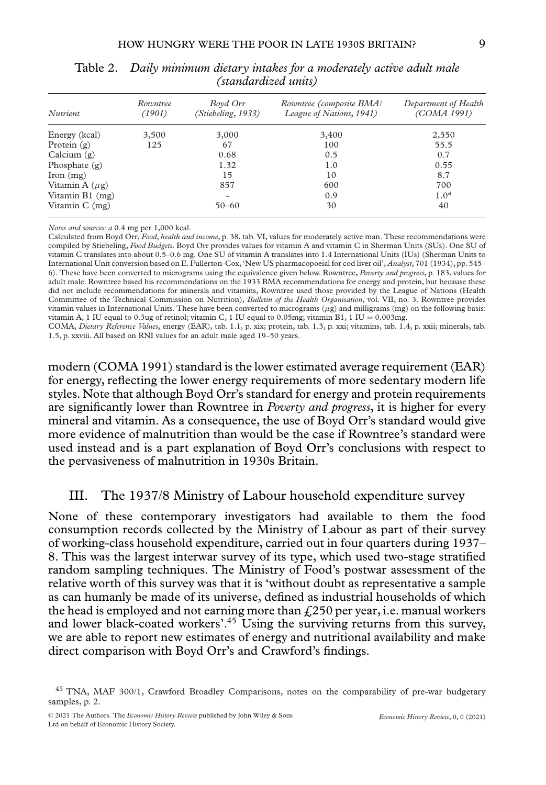| <i>Nutrient</i>     | Rowntree<br>(1901) | Boyd Orr<br>(Stiebeling, 1933) | Rowntree (composite BMA)<br>League of Nations, 1941) | Department of Health<br>(COMA 1991) |
|---------------------|--------------------|--------------------------------|------------------------------------------------------|-------------------------------------|
| Energy (kcal)       | 3,500              | 3,000                          | 3,400                                                | 2,550                               |
| Protein $(g)$       | 125                | 67                             | 100                                                  | 55.5                                |
| Calcium $(g)$       |                    | 0.68                           | 0.5                                                  | 0.7                                 |
| Phosphate $(g)$     |                    | 1.32                           | 1.0                                                  | 0.55                                |
| $\gamma$ (mg)       |                    | 15                             | 10                                                   | 8.7                                 |
| Vitamin A $(\mu g)$ |                    | 857                            | 600                                                  | 700                                 |
| Vitamin B1 (mg)     |                    | ۰                              | 0.9                                                  | 1.0 <sup>a</sup>                    |
| Vitamin $C$ (mg)    |                    | $50 - 60$                      | 30                                                   | 40                                  |

Table 2. *Daily minimum dietary intakes for a moderately active adult male (standardized units)*

*Notes and sources: a* 0.4 mg per 1,000 kcal.

Calculated from Boyd Orr, *Food, health and income*, p. 38, tab. VI, values for moderately active man. These recommendations were compiled by Stiebeling, *Food Budgets*. Boyd Orr provides values for vitamin A and vitamin C in Sherman Units (SUs). One SU of vitamin C translates into about 0.5–0.6 mg. One SU of vitamin A translates into 1.4 International Units (IUs) (Sherman Units to International Unit conversion based on E. Fullerton-Cox, 'New US pharmacopoeial for cod liver oil', *Analyst*, 701 (1934), pp. 545– 6). These have been converted to micrograms using the equivalence given below. Rowntree, *Poverty and progress*, p. 183, values for adult male. Rowntree based his recommendations on the 1933 BMA recommendations for energy and protein, but because these did not include recommendations for minerals and vitamins, Rowntree used those provided by the League of Nations (Health Committee of the Technical Commission on Nutrition), *Bulletin of the Health Organisation*, vol. VII, no. 3. Rowntree provides vitamin values in International Units. These have been converted to micrograms  $(\mu g)$  and milligrams (mg) on the following basis: vitamin A, 1 IU equal to 0.3ug of retinol; vitamin C, 1 IU equal to 0.05mg; vitamin B1, 1 IU = 0.003mg.

COMA, *Dietary Reference Values*, energy (EAR), tab. 1.1, p. xix; protein, tab. 1.3, p. xxi; vitamins, tab. 1.4, p. xxii; minerals, tab. 1.5, p. xxviii. All based on RNI values for an adult male aged 19–50 years.

modern (COMA 1991) standard is the lower estimated average requirement (EAR) for energy, reflecting the lower energy requirements of more sedentary modern life styles. Note that although Boyd Orr's standard for energy and protein requirements are significantly lower than Rowntree in *Poverty and progress*, it is higher for every mineral and vitamin. As a consequence, the use of Boyd Orr's standard would give more evidence of malnutrition than would be the case if Rowntree's standard were used instead and is a part explanation of Boyd Orr's conclusions with respect to the pervasiveness of malnutrition in 1930s Britain.

#### III. The 1937/8 Ministry of Labour household expenditure survey

None of these contemporary investigators had available to them the food consumption records collected by the Ministry of Labour as part of their survey of working-class household expenditure, carried out in four quarters during 1937– 8. This was the largest interwar survey of its type, which used two-stage stratified random sampling techniques. The Ministry of Food's postwar assessment of the relative worth of this survey was that it is 'without doubt as representative a sample as can humanly be made of its universe, defined as industrial households of which the head is employed and not earning more than  $\frac{250}{250}$  per year, i.e. manual workers and lower black-coated workers'.<sup>45</sup> Using the surviving returns from this survey, we are able to report new estimates of energy and nutritional availability and make direct comparison with Boyd Orr's and Crawford's findings.

<sup>45</sup> TNA, MAF 300/1, Crawford Broadley Comparisons, notes on the comparability of pre-war budgetary samples, p. 2.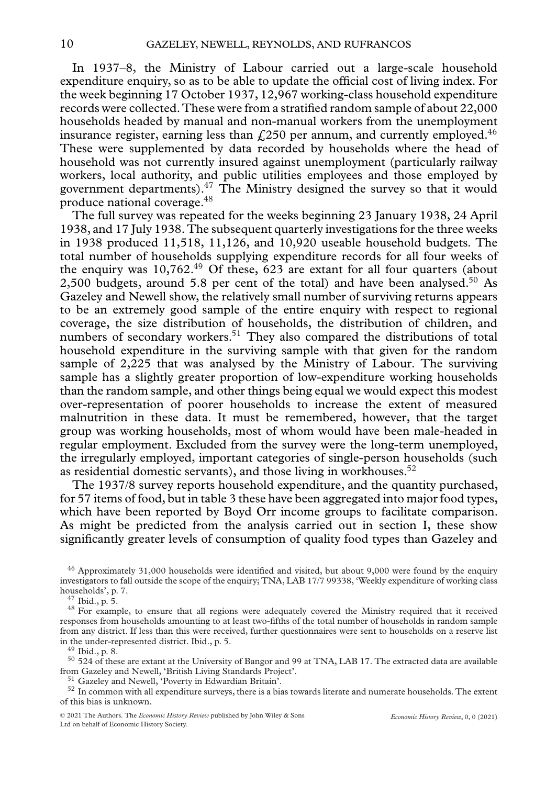In 1937–8, the Ministry of Labour carried out a large-scale household expenditure enquiry, so as to be able to update the official cost of living index. For the week beginning 17 October 1937, 12,967 working-class household expenditure records were collected. These were from a stratified random sample of about 22,000 households headed by manual and non-manual workers from the unemployment insurance register, earning less than  $\ell$ , 250 per annum, and currently employed.<sup>46</sup> These were supplemented by data recorded by households where the head of household was not currently insured against unemployment (particularly railway workers, local authority, and public utilities employees and those employed by government departments).47 The Ministry designed the survey so that it would produce national coverage.48

The full survey was repeated for the weeks beginning 23 January 1938, 24 April 1938, and 17 July 1938. The subsequent quarterly investigations for the three weeks in 1938 produced 11,518, 11,126, and 10,920 useable household budgets. The total number of households supplying expenditure records for all four weeks of the enquiry was  $10,762.^{49}$  Of these,  $623$  are extant for all four quarters (about 2,500 budgets, around 5.8 per cent of the total) and have been analysed.<sup>50</sup> As Gazeley and Newell show, the relatively small number of surviving returns appears to be an extremely good sample of the entire enquiry with respect to regional coverage, the size distribution of households, the distribution of children, and numbers of secondary workers.<sup>51</sup> They also compared the distributions of total household expenditure in the surviving sample with that given for the random sample of 2,225 that was analysed by the Ministry of Labour. The surviving sample has a slightly greater proportion of low-expenditure working households than the random sample, and other things being equal we would expect this modest over-representation of poorer households to increase the extent of measured malnutrition in these data. It must be remembered, however, that the target group was working households, most of whom would have been male-headed in regular employment. Excluded from the survey were the long-term unemployed, the irregularly employed, important categories of single-person households (such as residential domestic servants), and those living in workhouses.<sup>52</sup>

The 1937/8 survey reports household expenditure, and the quantity purchased, for 57 items of food, but in table 3 these have been aggregated into major food types, which have been reported by Boyd Orr income groups to facilitate comparison. As might be predicted from the analysis carried out in section I, these show significantly greater levels of consumption of quality food types than Gazeley and

<sup>46</sup> Approximately 31,000 households were identified and visited, but about 9,000 were found by the enquiry investigators to fall outside the scope of the enquiry; TNA, LAB 17/7 99338, 'Weekly expenditure of working class households', p. 7.

<sup>47</sup> Ibid., p. 5.<br><sup>48</sup> For example, to ensure that all regions were adequately covered the Ministry required that it received responses from households amounting to at least two-fifths of the total number of households in random sample from any district. If less than this were received, further questionnaires were sent to households on a reserve list<br>in the under-represented district. Ibid., p. 5.

<sup>49</sup> Ibid., p. 8.<br><sup>50</sup> 524 of these are extant at the University of Bangor and 99 at TNA, LAB 17. The extracted data are available<br>from Gazelev and Newell, 'British Living Standards Project'.

 $51$  Gazeley and Newell, 'Poverty in Edwardian Britain'.<br> $52$  In common with all expenditure surveys, there is a bias towards literate and numerate households. The extent of this bias is unknown.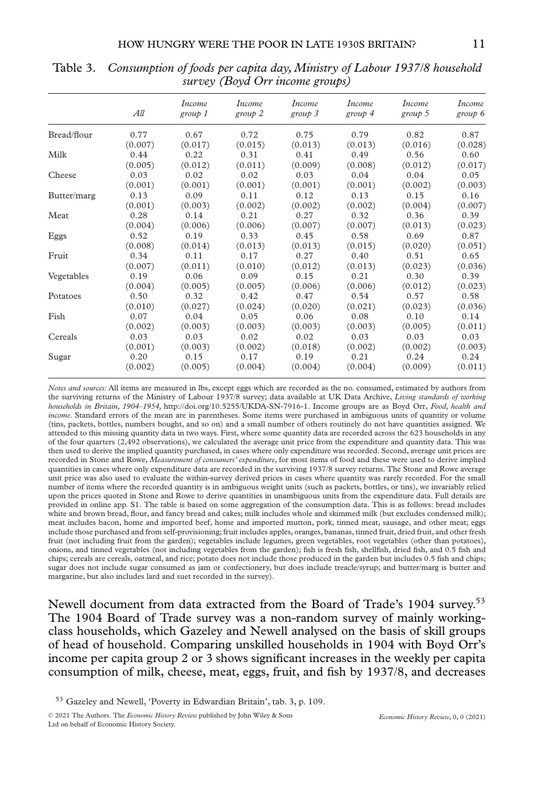|             | All     | Income<br>group 1 | Income<br>group 2 | Income<br>$group\ 3$ | Income<br>group 4 | <i>Income</i><br>group 5 | <i>Income</i><br>group 6 |
|-------------|---------|-------------------|-------------------|----------------------|-------------------|--------------------------|--------------------------|
| Bread/flour | 0.77    | 0.67              | 0.72              | 0.75                 | 0.79              | 0.82                     | 0.87                     |
|             | (0.007) | (0.017)           | (0.015)           | (0.013)              | (0.013)           | (0.016)                  | (0.028)                  |
| Milk        | 0.44    | 0.22              | 0.31              | 0.41                 | 0.49              | 0.56                     | 0.60                     |
|             | (0.005) | (0.012)           | (0.011)           | (0.009)              | (0.008)           | (0.012)                  | (0.017)                  |
| Cheese      | 0.03    | 0.02              | 0.02              | 0.03                 | 0.04              | 0.04                     | 0.05                     |
|             | (0.001) | (0.001)           | (0.001)           | (0.001)              | (0.001)           | (0.002)                  | (0.003)                  |
| Butter/marg | 0.13    | 0.09              | 0.11              | 0.12                 | 0.13              | 0.15                     | 0.16                     |
|             | (0.001) | (0.003)           | (0.002)           | (0.002)              | (0.002)           | (0.004)                  | (0.007)                  |
| Meat        | 0.28    | 0.14              | 0.21              | 0.27                 | 0.32              | 0.36                     | 0.39                     |
|             | (0.004) | (0.006)           | (0.006)           | (0.007)              | (0.007)           | (0.013)                  | (0.023)                  |
| Eggs        | 0.52    | 0.19              | 0.33              | 0.45                 | 0.58              | 0.69                     | 0.87                     |
|             | (0.008) | (0.014)           | (0.013)           | (0.013)              | (0.015)           | (0.020)                  | (0.051)                  |
| Fruit       | 0.34    | 0.11              | 0.17              | 0.27                 | 0.40              | 0.51                     | 0.65                     |
|             | (0.007) | (0.011)           | (0.010)           | (0.012)              | (0.013)           | (0.023)                  | (0.036)                  |
| Vegetables  | 0.19    | 0.06              | 0.09              | 0.15                 | 0.21              | 0.30                     | 0.39                     |
|             | (0.004) | (0.005)           | (0.005)           | (0.006)              | (0.006)           | (0.012)                  | (0.023)                  |
| Potatoes    | 0.50    | 0.32              | 0.42              | 0.47                 | 0.54              | 0.57                     | 0.58                     |
|             | (0.010) | (0.027)           | (0.024)           | (0.020)              | (0.021)           | (0.023)                  | (0.036)                  |
| Fish        | 0.07    | 0.04              | 0.05              | 0.06                 | 0.08              | 0.10                     | 0.14                     |
|             | (0.002) | (0.003)           | (0.003)           | (0.003)              | (0.003)           | (0.005)                  | (0.011)                  |
| Cereals     | 0.03    | 0.03              | 0.02              | 0.02                 | 0.03              | 0.03                     | 0.03                     |
|             | (0.001) | (0.003)           | (0.002)           | (0.018)              | (0.002)           | (0.002)                  | (0.003)                  |
| Sugar       | 0.20    | 0.15              | 0.17              | 0.19                 | 0.21              | 0.24                     | 0.24                     |
|             | (0.002) | (0.005)           | (0.004)           | (0.004)              | (0.004)           | (0.009)                  | (0.011)                  |

Table 3. *Consumption of foods per capita day, Ministry of Labour 1937/8 household survey (Boyd Orr income groups)*

*Notes and sources:* All items are measured in lbs, except eggs which are recorded as the no. consumed, estimated by authors from the surviving returns of the Ministry of Labour 1937/8 survey; data available at UK Data Archive, *Living standards of working households in Britain, 1904–1954,* [http://doi.org/10.5255/UKDA-SN-7916-1.](http://doi.org/10.5255/UKDA-SN-7916-1) Income groups are as Boyd Orr, *Food, health and income*. Standard errors of the mean are in parentheses. Some items were purchased in ambiguous units of quantity or volume (tins, packets, bottles, numbers bought, and so on) and a small number of others routinely do not have quantities assigned. We attended to this missing quantity data in two ways. First, where some quantity data are recorded across the 623 households in any of the four quarters (2,492 observations), we calculated the average unit price from the expenditure and quantity data. This was then used to derive the implied quantity purchased, in cases where only expenditure was recorded. Second, average unit prices are recorded in Stone and Rowe, *Measurement of consumers' expenditure*, for most items of food and these were used to derive implied quantities in cases where only expenditure data are recorded in the surviving 1937/8 survey returns. The Stone and Rowe average unit price was also used to evaluate the within-survey derived prices in cases where quantity was rarely recorded. For the small number of items where the recorded quantity is in ambiguous weight units (such as packets, bottles, or tins), we invariably relied upon the prices quoted in Stone and Rowe to derive quantities in unambiguous units from the expenditure data. Full details are provided in online app. S1. The table is based on some aggregation of the consumption data. This is as follows: bread includes white and brown bread, flour, and fancy bread and cakes; milk includes whole and skimmed milk (but excludes condensed milk); meat includes bacon, home and imported beef, home and imported mutton, pork, tinned meat, sausage, and other meat; eggs include those purchased and from self-provisioning; fruit includes apples, oranges, bananas, tinned fruit, dried fruit, and other fresh fruit (not including fruit from the garden); vegetables include legumes, green vegetables, root vegetables (other than potatoes), onions, and tinned vegetables (not including vegetables from the garden); fish is fresh fish, shellfish, dried fish, and 0.5 fish and chips; cereals are cereals, oatmeal, and rice; potato does not include those produced in the garden but includes 0.5 fish and chips; sugar does not include sugar consumed as jam or confectionery, but does include treacle/syrup; and butter/marg is butter and margarine, but also includes lard and suet recorded in the survey).

Newell document from data extracted from the Board of Trade's 1904 survey.<sup>53</sup> The 1904 Board of Trade survey was a non-random survey of mainly workingclass households, which Gazeley and Newell analysed on the basis of skill groups of head of household. Comparing unskilled households in 1904 with Boyd Orr's income per capita group 2 or 3 shows significant increases in the weekly per capita consumption of milk, cheese, meat, eggs, fruit, and fish by 1937/8, and decreases

<sup>53</sup> Gazeley and Newell, 'Poverty in Edwardian Britain', tab. 3, p. 109.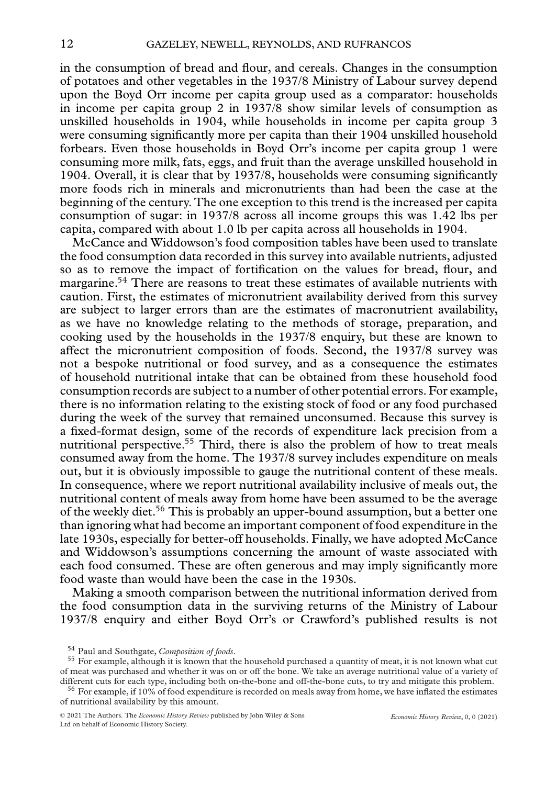in the consumption of bread and flour, and cereals. Changes in the consumption of potatoes and other vegetables in the 1937/8 Ministry of Labour survey depend upon the Boyd Orr income per capita group used as a comparator: households in income per capita group 2 in 1937/8 show similar levels of consumption as unskilled households in 1904, while households in income per capita group 3 were consuming significantly more per capita than their 1904 unskilled household forbears. Even those households in Boyd Orr's income per capita group 1 were consuming more milk, fats, eggs, and fruit than the average unskilled household in 1904. Overall, it is clear that by 1937/8, households were consuming significantly more foods rich in minerals and micronutrients than had been the case at the beginning of the century. The one exception to this trend is the increased per capita consumption of sugar: in 1937/8 across all income groups this was 1.42 lbs per capita, compared with about 1.0 lb per capita across all households in 1904.

McCance and Widdowson's food composition tables have been used to translate the food consumption data recorded in this survey into available nutrients, adjusted so as to remove the impact of fortification on the values for bread, flour, and margarine.<sup>54</sup> There are reasons to treat these estimates of available nutrients with caution. First, the estimates of micronutrient availability derived from this survey are subject to larger errors than are the estimates of macronutrient availability, as we have no knowledge relating to the methods of storage, preparation, and cooking used by the households in the 1937/8 enquiry, but these are known to affect the micronutrient composition of foods. Second, the 1937/8 survey was not a bespoke nutritional or food survey, and as a consequence the estimates of household nutritional intake that can be obtained from these household food consumption records are subject to a number of other potential errors. For example, there is no information relating to the existing stock of food or any food purchased during the week of the survey that remained unconsumed. Because this survey is a fixed-format design, some of the records of expenditure lack precision from a nutritional perspective.<sup>55</sup> Third, there is also the problem of how to treat meals consumed away from the home. The 1937/8 survey includes expenditure on meals out, but it is obviously impossible to gauge the nutritional content of these meals. In consequence, where we report nutritional availability inclusive of meals out, the nutritional content of meals away from home have been assumed to be the average of the weekly diet.<sup>56</sup> This is probably an upper-bound assumption, but a better one than ignoring what had become an important component of food expenditure in the late 1930s, especially for better-off households. Finally, we have adopted McCance and Widdowson's assumptions concerning the amount of waste associated with each food consumed. These are often generous and may imply significantly more food waste than would have been the case in the 1930s.

Making a smooth comparison between the nutritional information derived from the food consumption data in the surviving returns of the Ministry of Labour 1937/8 enquiry and either Boyd Orr's or Crawford's published results is not

<sup>&</sup>lt;sup>54</sup> Paul and Southgate, *Composition of foods*.<br><sup>55</sup> For example, although it is known that the household purchased a quantity of meat, it is not known what cut of meat was purchased and whether it was on or off the bone. We take an average nutritional value of a variety of different cuts for each type, including both on-the-bone and off-the-bone cuts, to try and mitigate this pro

 $56$  For example, if 10% of food expenditure is recorded on meals away from home, we have inflated the estimates of nutritional availability by this amount.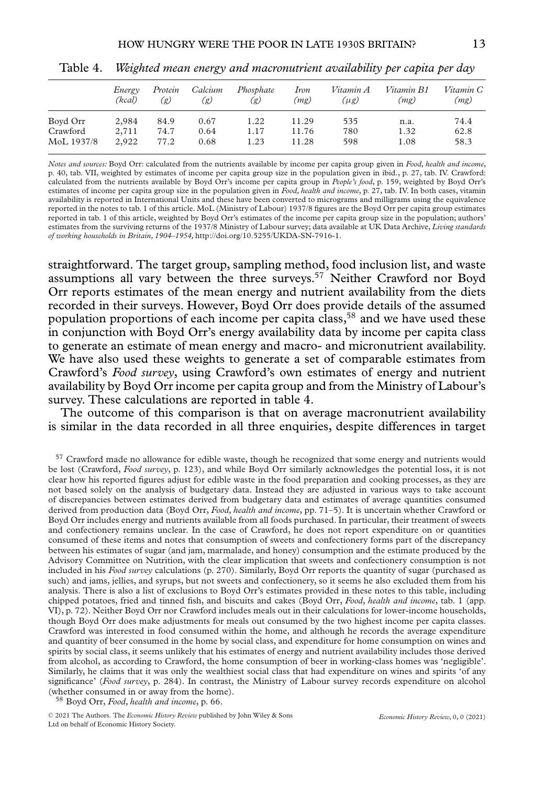|            | Energy<br>(kcal) | Protein<br>(g) | Calcium<br>(g) | Phosphate<br>(g) | <i>Iron</i><br>(mg) | Vitamin A<br>$(\mu g)$ | Vitamin B1<br>(mg) | Vitamin C<br>(mg) |
|------------|------------------|----------------|----------------|------------------|---------------------|------------------------|--------------------|-------------------|
| Boyd Orr   | 2,984            | 84.9           | 0.67           | 1.22             | 11.29               | 535                    | n.a.               | 74.4              |
| Crawford   | 2,711            | 74.7           | 0.64           | 1.17             | 11.76               | 780                    | 1.32               | 62.8              |
| MoL 1937/8 | 2,922            | 77.2           | 0.68           | 1.23             | 11.28               | 598                    | 1.08               | 58.3              |

Table 4. *Weighted mean energy and macronutrient availability per capita per day*

*Notes and sources:* Boyd Orr: calculated from the nutrients available by income per capita group given in *Food, health and income*, p. 40, tab. VII, weighted by estimates of income per capita group size in the population given in ibid., p. 27, tab. IV. Crawford: calculated from the nutrients available by Boyd Orr's income per capita group in *People's food*, p. 159, weighted by Boyd Orr's estimates of income per capita group size in the population given in *Food, health and income*, p. 27, tab. IV. In both cases, vitamin availability is reported in International Units and these have been converted to micrograms and milligrams using the equivalence reported in the notes to tab. 1 of this article. MoL (Ministry of Labour) 1937/8 figures are the Boyd Orr per capita group estimates reported in tab. 1 of this article, weighted by Boyd Orr's estimates of the income per capita group size in the population; authors' estimates from the surviving returns of the 1937/8 Ministry of Labour survey; data available at UK Data Archive, *Living standards of working households in Britain, 1904–1954,* [http://doi.org/10.5255/UKDA-SN-7916-1.](http://doi.org/10.5255/UKDA-SN-7916-1)

straightforward. The target group, sampling method, food inclusion list, and waste assumptions all vary between the three surveys.<sup>57</sup> Neither Crawford nor Boyd Orr reports estimates of the mean energy and nutrient availability from the diets recorded in their surveys. However, Boyd Orr does provide details of the assumed population proportions of each income per capita class,58 and we have used these in conjunction with Boyd Orr's energy availability data by income per capita class to generate an estimate of mean energy and macro- and micronutrient availability. We have also used these weights to generate a set of comparable estimates from Crawford's *Food survey*, using Crawford's own estimates of energy and nutrient availability by Boyd Orr income per capita group and from the Ministry of Labour's survey. These calculations are reported in table 4.

The outcome of this comparison is that on average macronutrient availability is similar in the data recorded in all three enquiries, despite differences in target

<sup>57</sup> Crawford made no allowance for edible waste, though he recognized that some energy and nutrients would be lost (Crawford, *Food survey*, p. 123), and while Boyd Orr similarly acknowledges the potential loss, it is not clear how his reported figures adjust for edible waste in the food preparation and cooking processes, as they are not based solely on the analysis of budgetary data. Instead they are adjusted in various ways to take account of discrepancies between estimates derived from budgetary data and estimates of average quantities consumed derived from production data (Boyd Orr, *Food, health and income*, pp. 71–5). It is uncertain whether Crawford or Boyd Orr includes energy and nutrients available from all foods purchased. In particular, their treatment of sweets and confectionery remains unclear. In the case of Crawford, he does not report expenditure on or quantities consumed of these items and notes that consumption of sweets and confectionery forms part of the discrepancy between his estimates of sugar (and jam, marmalade, and honey) consumption and the estimate produced by the Advisory Committee on Nutrition, with the clear implication that sweets and confectionery consumption is not included in his *Food survey* calculations (p. 270). Similarly, Boyd Orr reports the quantity of sugar (purchased as such) and jams, jellies, and syrups, but not sweets and confectionery, so it seems he also excluded them from his analysis. There is also a list of exclusions to Boyd Orr's estimates provided in these notes to this table, including chipped potatoes, fried and tinned fish, and biscuits and cakes (Boyd Orr, *Food, health and income*, tab. 1 (app. VI), p. 72). Neither Boyd Orr nor Crawford includes meals out in their calculations for lower-income households, though Boyd Orr does make adjustments for meals out consumed by the two highest income per capita classes. Crawford was interested in food consumed within the home, and although he records the average expenditure and quantity of beer consumed in the home by social class, and expenditure for home consumption on wines and spirits by social class, it seems unlikely that his estimates of energy and nutrient availability includes those derived from alcohol, as according to Crawford, the home consumption of beer in working-class homes was 'negligible'. Similarly, he claims that it was only the wealthiest social class that had expenditure on wines and spirits 'of any significance' (*Food survey*, p. 284). In contrast, the Ministry of Labour survey records expenditure on alcohol (whether consumed in or away from the home). <sup>58</sup> Boyd Orr, *Food, health and income*, p. 66.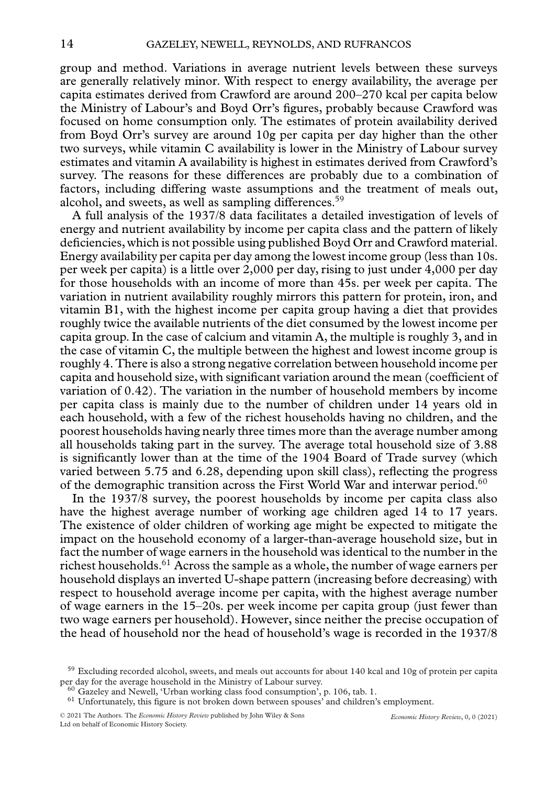group and method. Variations in average nutrient levels between these surveys are generally relatively minor. With respect to energy availability, the average per capita estimates derived from Crawford are around 200–270 kcal per capita below the Ministry of Labour's and Boyd Orr's figures, probably because Crawford was focused on home consumption only. The estimates of protein availability derived from Boyd Orr's survey are around 10g per capita per day higher than the other two surveys, while vitamin C availability is lower in the Ministry of Labour survey estimates and vitamin A availability is highest in estimates derived from Crawford's survey. The reasons for these differences are probably due to a combination of factors, including differing waste assumptions and the treatment of meals out, alcohol, and sweets, as well as sampling differences.<sup>59</sup>

A full analysis of the 1937/8 data facilitates a detailed investigation of levels of energy and nutrient availability by income per capita class and the pattern of likely deficiencies, which is not possible using published Boyd Orr and Crawford material. Energy availability per capita per day among the lowest income group (less than 10s. per week per capita) is a little over 2,000 per day, rising to just under 4,000 per day for those households with an income of more than 45s. per week per capita. The variation in nutrient availability roughly mirrors this pattern for protein, iron, and vitamin B1, with the highest income per capita group having a diet that provides roughly twice the available nutrients of the diet consumed by the lowest income per capita group. In the case of calcium and vitamin A, the multiple is roughly 3, and in the case of vitamin C, the multiple between the highest and lowest income group is roughly 4. There is also a strong negative correlation between household income per capita and household size, with significant variation around the mean (coefficient of variation of 0.42). The variation in the number of household members by income per capita class is mainly due to the number of children under 14 years old in each household, with a few of the richest households having no children, and the poorest households having nearly three times more than the average number among all households taking part in the survey. The average total household size of 3.88 is significantly lower than at the time of the 1904 Board of Trade survey (which varied between 5.75 and 6.28, depending upon skill class), reflecting the progress of the demographic transition across the First World War and interwar period.<sup>60</sup>

In the 1937/8 survey, the poorest households by income per capita class also have the highest average number of working age children aged 14 to 17 years. The existence of older children of working age might be expected to mitigate the impact on the household economy of a larger-than-average household size, but in fact the number of wage earners in the household was identical to the number in the richest households.<sup>61</sup> Across the sample as a whole, the number of wage earners per household displays an inverted U-shape pattern (increasing before decreasing) with respect to household average income per capita, with the highest average number of wage earners in the 15–20s. per week income per capita group (just fewer than two wage earners per household). However, since neither the precise occupation of the head of household nor the head of household's wage is recorded in the 1937/8

 $59$  Excluding recorded alcohol, sweets, and meals out accounts for about 140 kcal and 10g of protein per capita per day for the average household in the Ministry of Labour survey.

 $^{60}$  Gazeley and Newell, 'Urban working class food consumption', p. 106, tab. 1.<br> $^{61}$  Unfortunately, this figure is not broken down between spouses' and children's employment.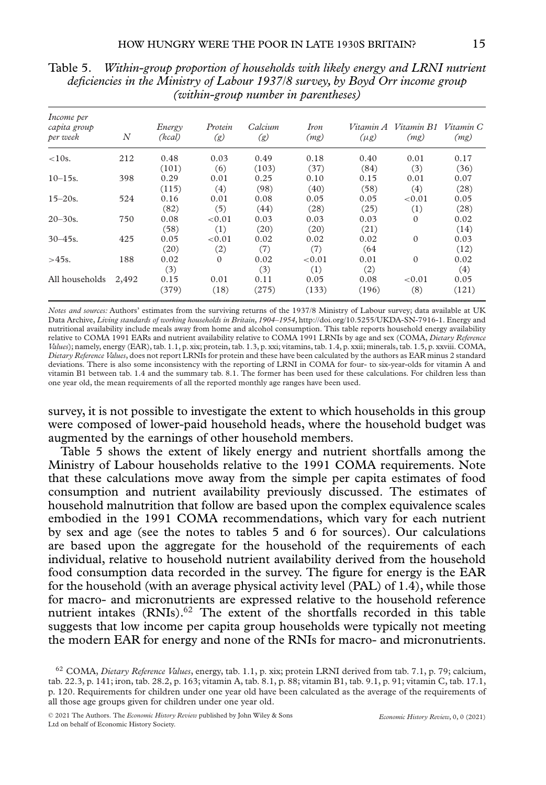| Income per<br>capita group<br>per week | $\overline{N}$ | Energy<br>(kcal) | Protein<br>(g) | Calcium<br>(g) | Iron<br>(mg) | $(\mu g)$ | Vitamin A Vitamin B1<br>(mg) | Vitamin C<br>(mg) |
|----------------------------------------|----------------|------------------|----------------|----------------|--------------|-----------|------------------------------|-------------------|
| < 10s.                                 | 212            | 0.48             | 0.03           | 0.49           | 0.18         | 0.40      | 0.01                         | 0.17              |
|                                        |                | (101)            | (6)            | (103)          | (37)         | (84)      | (3)                          | (36)              |
| $10 - 15s$ .                           | 398            | 0.29             | 0.01           | 0.25           | 0.10         | 0.15      | 0.01                         | 0.07              |
|                                        |                | (115)            | (4)            | (98)           | (40)         | (58)      | (4)                          | (28)              |
| $15 - 20s$ .                           | 524            | 0.16             | 0.01           | 0.08           | 0.05         | 0.05      | ${<}0.01$                    | 0.05              |
|                                        |                | (82)             | (5)            | (44)           | (28)         | (25)      | (1)                          | (28)              |
| $20 - 30s$ .                           | 750            | 0.08             | ${<}0.01$      | 0.03           | 0.03         | 0.03      | $\Omega$                     | 0.02              |
|                                        |                | (58)             | (1)            | (20)           | (20)         | (21)      |                              | (14)              |
| $30 - 45s$ .                           | 425            | 0.05             | ${<}0.01$      | 0.02           | 0.02         | 0.02      | $\mathbf{0}$                 | 0.03              |
|                                        |                | (20)             | (2)            | (7)            | (7)          | (64)      |                              | (12)              |
| $>45s$ .                               | 188            | 0.02             | $\Omega$       | 0.02           | ${<}0.01$    | 0.01      | $\mathbf{0}$                 | 0.02              |
|                                        |                | (3)              |                | (3)            | (1)          | (2)       |                              | (4)               |
| All households                         | 2,492          | 0.15             | 0.01           | 0.11           | 0.05         | 0.08      | ${<}0.01$                    | 0.05              |
|                                        |                | (379)            | (18)           | (275)          | (133)        | (196)     | (8)                          | (121)             |

Table 5. *Within-group proportion of households with likely energy and LRNI nutrient deficiencies in the Ministry of Labour 1937/8 survey, by Boyd Orr income group (within-group number in parentheses)*

*Notes and sources:* Authors' estimates from the surviving returns of the 1937/8 Ministry of Labour survey; data available at UK Data Archive, *Living standards of working households in Britain, 1904–1954,* [http://doi.org/10.5255/UKDA-SN-7916-1.](http://doi.org/10.5255/UKDA-SN-7916-1) Energy and nutritional availability include meals away from home and alcohol consumption. This table reports household energy availability relative to COMA 1991 EARs and nutrient availability relative to COMA 1991 LRNIs by age and sex (COMA, *Dietary Reference Values*); namely, energy (EAR), tab. 1.1, p. xix; protein, tab. 1.3, p. xxi; vitamins, tab. 1.4, p. xxii; minerals, tab. 1.5, p. xxviii. COMA, *Dietary Reference Values*, does not report LRNIs for protein and these have been calculated by the authors as EAR minus 2 standard deviations. There is also some inconsistency with the reporting of LRNI in COMA for four- to six-year-olds for vitamin A and vitamin B1 between tab. 1.4 and the summary tab. 8.1. The former has been used for these calculations. For children less than one year old, the mean requirements of all the reported monthly age ranges have been used.

survey, it is not possible to investigate the extent to which households in this group were composed of lower-paid household heads, where the household budget was augmented by the earnings of other household members.

Table 5 shows the extent of likely energy and nutrient shortfalls among the Ministry of Labour households relative to the 1991 COMA requirements. Note that these calculations move away from the simple per capita estimates of food consumption and nutrient availability previously discussed. The estimates of household malnutrition that follow are based upon the complex equivalence scales embodied in the 1991 COMA recommendations, which vary for each nutrient by sex and age (see the notes to tables 5 and 6 for sources). Our calculations are based upon the aggregate for the household of the requirements of each individual, relative to household nutrient availability derived from the household food consumption data recorded in the survey. The figure for energy is the EAR for the household (with an average physical activity level (PAL) of 1.4), while those for macro- and micronutrients are expressed relative to the household reference nutrient intakes  $(RNIs).<sup>62</sup>$  The extent of the shortfalls recorded in this table suggests that low income per capita group households were typically not meeting the modern EAR for energy and none of the RNIs for macro- and micronutrients.

<sup>62</sup> COMA, *Dietary Reference Values*, energy, tab. 1.1, p. xix; protein LRNI derived from tab. 7.1, p. 79; calcium, tab. 22.3, p. 141; iron, tab. 28.2, p. 163; vitamin A, tab. 8.1, p. 88; vitamin B1, tab. 9.1, p. 91; vitamin C, tab. 17.1, p. 120. Requirements for children under one year old have been calculated as the average of the requirements of all those age groups given for children under one year old.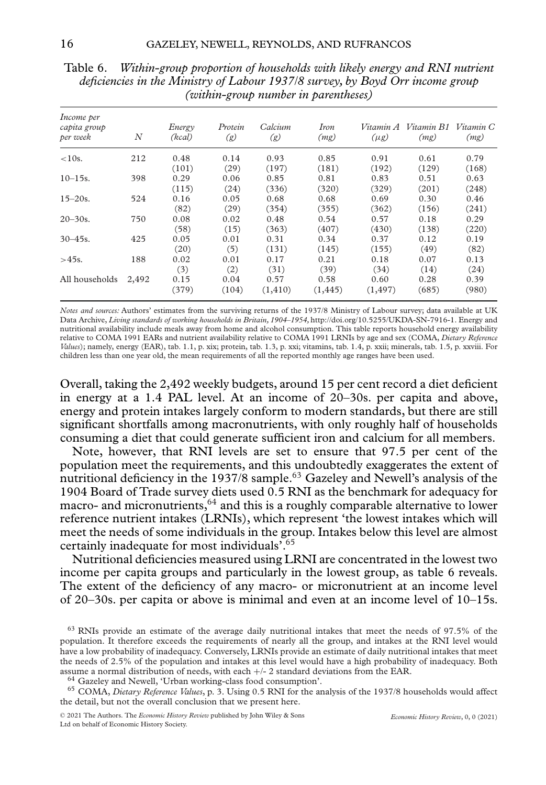| Income per<br>capita group<br>per week | $\overline{N}$ | Energy<br>(kcal) | Protein<br>(g) | Calcium<br>(g) | <i>Iron</i><br>(mg) | $(\mu g)$ | Vitamin A Vitamin B1<br>(mg) | Vitamin C<br>(mg) |
|----------------------------------------|----------------|------------------|----------------|----------------|---------------------|-----------|------------------------------|-------------------|
| $<$ 10s.                               | 212            | 0.48             | 0.14           | 0.93           | 0.85                | 0.91      | 0.61                         | 0.79              |
|                                        |                | (101)            | (29)           | (197)          | (181)               | (192)     | (129)                        | (168)             |
| $10 - 15s$ .                           | 398            | 0.29             | 0.06           | 0.85           | 0.81                | 0.83      | 0.51                         | 0.63              |
|                                        |                | (115)            | (24)           | (336)          | (320)               | (329)     | (201)                        | (248)             |
| $15 - 20s$ .                           | 524            | 0.16             | 0.05           | 0.68           | 0.68                | 0.69      | 0.30                         | 0.46              |
|                                        |                | (82)             | (29)           | (354)          | (355)               | (362)     | (156)                        | (241)             |
| $20 - 30s$ .                           | 750            | 0.08             | 0.02           | 0.48           | 0.54                | 0.57      | 0.18                         | 0.29              |
|                                        |                | (58)             | (15)           | (363)          | (407)               | (430)     | (138)                        | (220)             |
| $30 - 45s$ .                           | 425            | 0.05             | 0.01           | 0.31           | 0.34                | 0.37      | 0.12                         | 0.19              |
|                                        |                | (20)             | (5)            | (131)          | (145)               | (155)     | (49)                         | (82)              |
| $>45s$ .                               | 188            | 0.02             | 0.01           | 0.17           | 0.21                | 0.18      | 0.07                         | 0.13              |
|                                        |                | (3)              | (2)            | (31)           | (39)                | (34)      | (14)                         | (24)              |
| All households                         | 2,492          | 0.15             | 0.04           | 0.57           | 0.58                | 0.60      | 0.28                         | 0.39              |
|                                        |                | (379)            | (104)          | (1, 410)       | (1, 445)            | (1, 497)  | (685)                        | (980)             |

Table 6. *Within-group proportion of households with likely energy and RNI nutrient deficiencies in the Ministry of Labour 1937/8 survey, by Boyd Orr income group (within-group number in parentheses)*

*Notes and sources:* Authors' estimates from the surviving returns of the 1937/8 Ministry of Labour survey; data available at UK Data Archive, *Living standards of working households in Britain, 1904–1954,* [http://doi.org/10.5255/UKDA-SN-7916-1.](http://doi.org/10.5255/UKDA-SN-7916-1) Energy and nutritional availability include meals away from home and alcohol consumption. This table reports household energy availability relative to COMA 1991 EARs and nutrient availability relative to COMA 1991 LRNIs by age and sex (COMA, *Dietary Reference Values*); namely, energy (EAR), tab. 1.1, p. xix; protein, tab. 1.3, p. xxi; vitamins, tab. 1.4, p. xxii; minerals, tab. 1.5, p. xxviii. For children less than one year old, the mean requirements of all the reported monthly age ranges have been used.

Overall, taking the 2,492 weekly budgets, around 15 per cent record a diet deficient in energy at a 1.4 PAL level. At an income of 20–30s. per capita and above, energy and protein intakes largely conform to modern standards, but there are still significant shortfalls among macronutrients, with only roughly half of households consuming a diet that could generate sufficient iron and calcium for all members.

Note, however, that RNI levels are set to ensure that 97.5 per cent of the population meet the requirements, and this undoubtedly exaggerates the extent of nutritional deficiency in the 1937/8 sample.<sup>63</sup> Gazeley and Newell's analysis of the 1904 Board of Trade survey diets used 0.5 RNI as the benchmark for adequacy for macro- and micronutrients,  $64$  and this is a roughly comparable alternative to lower reference nutrient intakes (LRNIs), which represent 'the lowest intakes which will meet the needs of some individuals in the group. Intakes below this level are almost certainly inadequate for most individuals'.65

Nutritional deficiencies measured using LRNI are concentrated in the lowest two income per capita groups and particularly in the lowest group, as table 6 reveals. The extent of the deficiency of any macro- or micronutrient at an income level of 20–30s. per capita or above is minimal and even at an income level of 10–15s.

<sup>63</sup> RNIs provide an estimate of the average daily nutritional intakes that meet the needs of 97.5% of the population. It therefore exceeds the requirements of nearly all the group, and intakes at the RNI level would have a low probability of inadequacy. Conversely, LRNIs provide an estimate of daily nutritional intakes that meet the needs of 2.5% of the population and intakes at this level would have a high probability of inadequacy. Both assume a normal distribution of needs, with each  $+/-$  2 standard deviations from the EAR.<br><sup>64</sup> Gazeley and Newell, 'Urban working-class food consumption'.<br><sup>65</sup> COMA, *Dietary Reference Values*, p. 3. Using 0.5 RNI for the

the detail, but not the overall conclusion that we present here.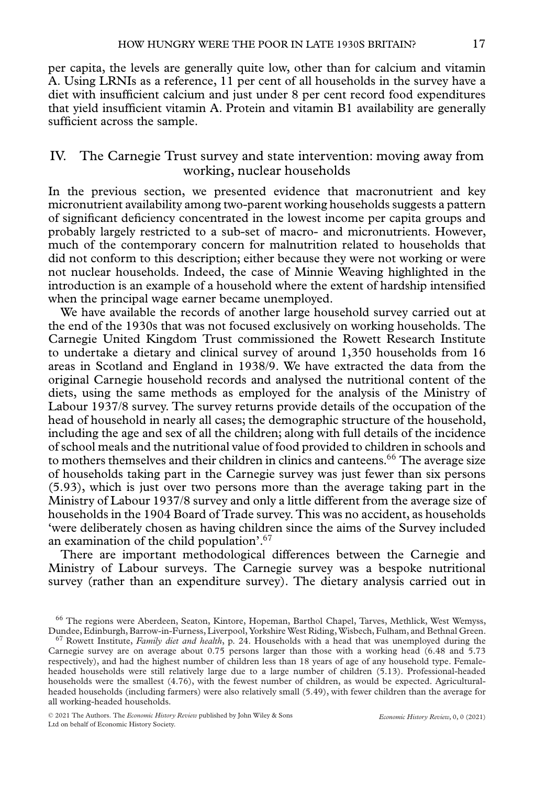per capita, the levels are generally quite low, other than for calcium and vitamin A. Using LRNIs as a reference, 11 per cent of all households in the survey have a diet with insufficient calcium and just under 8 per cent record food expenditures that yield insufficient vitamin A. Protein and vitamin B1 availability are generally sufficient across the sample.

#### IV. The Carnegie Trust survey and state intervention: moving away from working, nuclear households

In the previous section, we presented evidence that macronutrient and key micronutrient availability among two-parent working households suggests a pattern of significant deficiency concentrated in the lowest income per capita groups and probably largely restricted to a sub-set of macro- and micronutrients. However, much of the contemporary concern for malnutrition related to households that did not conform to this description; either because they were not working or were not nuclear households. Indeed, the case of Minnie Weaving highlighted in the introduction is an example of a household where the extent of hardship intensified when the principal wage earner became unemployed.

We have available the records of another large household survey carried out at the end of the 1930s that was not focused exclusively on working households. The Carnegie United Kingdom Trust commissioned the Rowett Research Institute to undertake a dietary and clinical survey of around 1,350 households from 16 areas in Scotland and England in 1938/9. We have extracted the data from the original Carnegie household records and analysed the nutritional content of the diets, using the same methods as employed for the analysis of the Ministry of Labour 1937/8 survey. The survey returns provide details of the occupation of the head of household in nearly all cases; the demographic structure of the household, including the age and sex of all the children; along with full details of the incidence of school meals and the nutritional value of food provided to children in schools and to mothers themselves and their children in clinics and canteens.<sup>66</sup> The average size of households taking part in the Carnegie survey was just fewer than six persons (5.93), which is just over two persons more than the average taking part in the Ministry of Labour 1937/8 survey and only a little different from the average size of households in the 1904 Board of Trade survey. This was no accident, as households 'were deliberately chosen as having children since the aims of the Survey included an examination of the child population'. $67$ 

There are important methodological differences between the Carnegie and Ministry of Labour surveys. The Carnegie survey was a bespoke nutritional survey (rather than an expenditure survey). The dietary analysis carried out in

<sup>67</sup> Rowett Institute, *Family diet and health*, p. 24. Households with a head that was unemployed during the Carnegie survey are on average about 0.75 persons larger than those with a working head (6.48 and 5.73 respectively), and had the highest number of children less than 18 years of age of any household type. Femaleheaded households were still relatively large due to a large number of children (5.13). Professional-headed households were the smallest (4.76), with the fewest number of children, as would be expected. Agriculturalheaded households (including farmers) were also relatively small (5.49), with fewer children than the average for all working-headed households.

<sup>&</sup>lt;sup>66</sup> The regions were Aberdeen, Seaton, Kintore, Hopeman, Barthol Chapel, Tarves, Methlick, West Wemyss, Dundee, Edinburgh, Barrow-in-Furness, Liverpool, Yorkshire West Riding, Wisbech, Fulham, and Bethnal Green.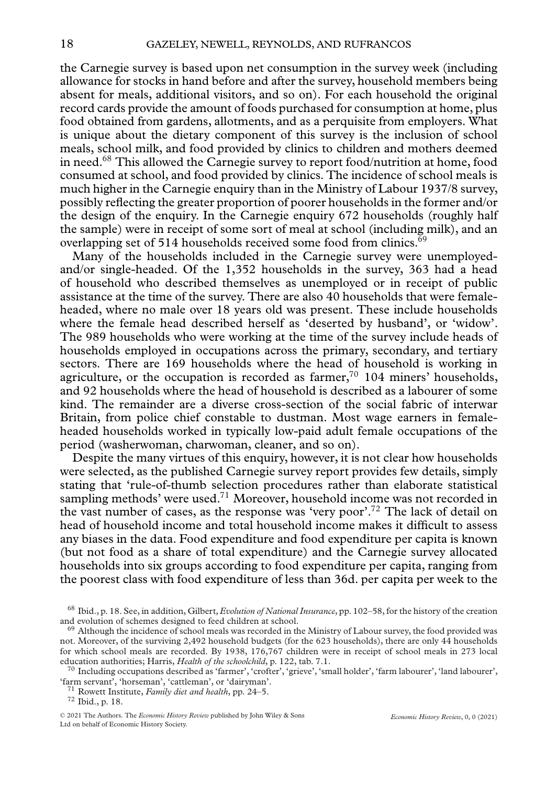the Carnegie survey is based upon net consumption in the survey week (including allowance for stocks in hand before and after the survey, household members being absent for meals, additional visitors, and so on). For each household the original record cards provide the amount of foods purchased for consumption at home, plus food obtained from gardens, allotments, and as a perquisite from employers. What is unique about the dietary component of this survey is the inclusion of school meals, school milk, and food provided by clinics to children and mothers deemed in need.<sup>68</sup> This allowed the Carnegie survey to report food/nutrition at home, food consumed at school, and food provided by clinics. The incidence of school meals is much higher in the Carnegie enquiry than in the Ministry of Labour 1937/8 survey, possibly reflecting the greater proportion of poorer households in the former and/or the design of the enquiry. In the Carnegie enquiry 672 households (roughly half the sample) were in receipt of some sort of meal at school (including milk), and an overlapping set of 514 households received some food from clinics.<sup>69</sup>

Many of the households included in the Carnegie survey were unemployedand/or single-headed. Of the 1,352 households in the survey, 363 had a head of household who described themselves as unemployed or in receipt of public assistance at the time of the survey. There are also 40 households that were femaleheaded, where no male over 18 years old was present. These include households where the female head described herself as 'deserted by husband', or 'widow'. The 989 households who were working at the time of the survey include heads of households employed in occupations across the primary, secondary, and tertiary sectors. There are 169 households where the head of household is working in agriculture, or the occupation is recorded as farmer, $70$  104 miners' households, and 92 households where the head of household is described as a labourer of some kind. The remainder are a diverse cross-section of the social fabric of interwar Britain, from police chief constable to dustman. Most wage earners in femaleheaded households worked in typically low-paid adult female occupations of the period (washerwoman, charwoman, cleaner, and so on).

Despite the many virtues of this enquiry, however, it is not clear how households were selected, as the published Carnegie survey report provides few details, simply stating that 'rule-of-thumb selection procedures rather than elaborate statistical sampling methods' were used.<sup>71</sup> Moreover, household income was not recorded in the vast number of cases, as the response was 'very poor'.<sup>72</sup> The lack of detail on head of household income and total household income makes it difficult to assess any biases in the data. Food expenditure and food expenditure per capita is known (but not food as a share of total expenditure) and the Carnegie survey allocated households into six groups according to food expenditure per capita, ranging from the poorest class with food expenditure of less than 36d. per capita per week to the

<sup>68</sup> Ibid., p. 18. See, in addition, Gilbert*,Evolution of National Insurance*, pp. 102–58, for the history of the creation

 $69$  Although the incidence of school meals was recorded in the Ministry of Labour survey, the food provided was not. Moreover, of the surviving 2,492 household budgets (for the 623 households), there are only 44 households for which school meals are recorded. By 1938, 176,767 children were in receipt of school meals in 273 local

education authorities; Harris, *Health of the schoolchild*, p. 122, tab. 7.1.<br><sup>70</sup> Including occupations described as 'farmer', 'crofter', 'grieve', 'small holder', 'farm labourer', 'land labourer', 'farm servant', 'horsem

<sup>&</sup>lt;sup>71</sup> Rowett Institute, *Family diet and health*, pp. 24–5.<br><sup>72</sup> Ibid., p. 18.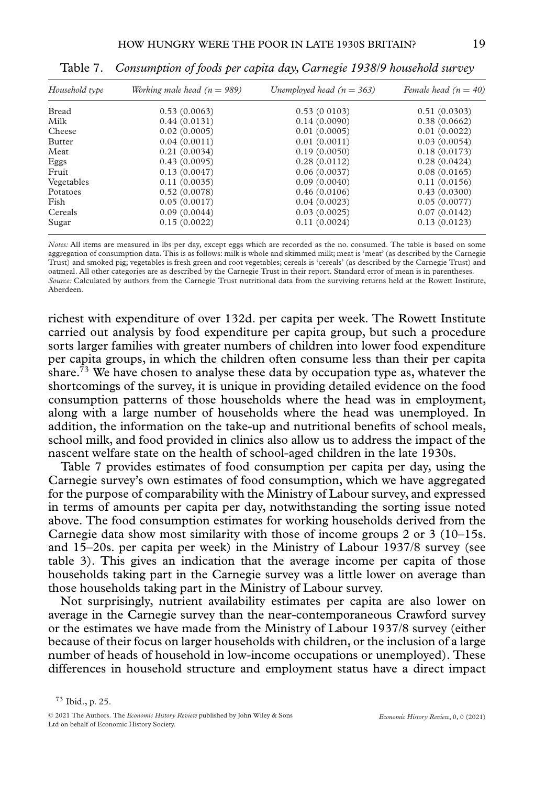| Household type | Working male head $(n = 989)$ | Unemployed head $(n = 363)$ | Female head $(n = 40)$ |
|----------------|-------------------------------|-----------------------------|------------------------|
| <b>Bread</b>   | 0.53(0.0063)                  | 0.53(0.0103)                | 0.51(0.0303)           |
| Milk           | 0.44(0.0131)                  | 0.14(0.0090)                | 0.38(0.0662)           |
| Cheese         | 0.02(0.0005)                  | 0.01(0.0005)                | 0.01(0.0022)           |
| Butter         | 0.04(0.0011)                  | 0.01(0.0011)                | 0.03(0.0054)           |
| Meat           | 0.21(0.0034)                  | 0.19(0.0050)                | 0.18(0.0173)           |
| Eggs           | 0.43(0.0095)                  | 0.28(0.0112)                | 0.28(0.0424)           |
| Fruit          | 0.13(0.0047)                  | 0.06(0.0037)                | 0.08(0.0165)           |
| Vegetables     | 0.11(0.0035)                  | 0.09(0.0040)                | 0.11(0.0156)           |
| Potatoes       | 0.52(0.0078)                  | 0.46(0.0106)                | 0.43(0.0300)           |
| Fish           | 0.05(0.0017)                  | 0.04(0.0023)                | 0.05(0.0077)           |
| Cereals        | 0.09(0.0044)                  | 0.03(0.0025)                | 0.07(0.0142)           |
| Sugar          | 0.15(0.0022)                  | 0.11(0.0024)                | 0.13(0.0123)           |

Table 7. *Consumption of foods per capita day, Carnegie 1938/9 household survey*

*Notes:* All items are measured in lbs per day, except eggs which are recorded as the no. consumed. The table is based on some aggregation of consumption data. This is as follows: milk is whole and skimmed milk; meat is 'meat' (as described by the Carnegie Trust) and smoked pig; vegetables is fresh green and root vegetables; cereals is 'cereals' (as described by the Carnegie Trust) and oatmeal. All other categories are as described by the Carnegie Trust in their report. Standard error of mean is in parentheses. *Source:* Calculated by authors from the Carnegie Trust nutritional data from the surviving returns held at the Rowett Institute, Aberdeen.

richest with expenditure of over 132d. per capita per week. The Rowett Institute carried out analysis by food expenditure per capita group, but such a procedure sorts larger families with greater numbers of children into lower food expenditure per capita groups, in which the children often consume less than their per capita share.<sup>73</sup> We have chosen to analyse these data by occupation type as, whatever the shortcomings of the survey, it is unique in providing detailed evidence on the food consumption patterns of those households where the head was in employment, along with a large number of households where the head was unemployed. In addition, the information on the take-up and nutritional benefits of school meals, school milk, and food provided in clinics also allow us to address the impact of the nascent welfare state on the health of school-aged children in the late 1930s.

Table 7 provides estimates of food consumption per capita per day, using the Carnegie survey's own estimates of food consumption, which we have aggregated for the purpose of comparability with the Ministry of Labour survey, and expressed in terms of amounts per capita per day, notwithstanding the sorting issue noted above. The food consumption estimates for working households derived from the Carnegie data show most similarity with those of income groups 2 or 3 (10–15s. and 15–20s. per capita per week) in the Ministry of Labour 1937/8 survey (see table 3). This gives an indication that the average income per capita of those households taking part in the Carnegie survey was a little lower on average than those households taking part in the Ministry of Labour survey.

Not surprisingly, nutrient availability estimates per capita are also lower on average in the Carnegie survey than the near-contemporaneous Crawford survey or the estimates we have made from the Ministry of Labour 1937/8 survey (either because of their focus on larger households with children, or the inclusion of a large number of heads of household in low-income occupations or unemployed). These differences in household structure and employment status have a direct impact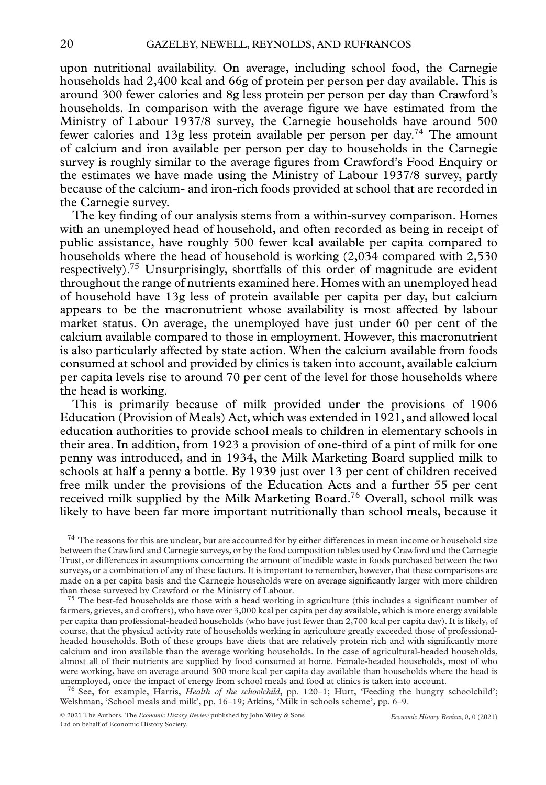upon nutritional availability. On average, including school food, the Carnegie households had 2,400 kcal and 66g of protein per person per day available. This is around 300 fewer calories and 8g less protein per person per day than Crawford's households. In comparison with the average figure we have estimated from the Ministry of Labour 1937/8 survey, the Carnegie households have around 500 fewer calories and 13g less protein available per person per day.74 The amount of calcium and iron available per person per day to households in the Carnegie survey is roughly similar to the average figures from Crawford's Food Enquiry or the estimates we have made using the Ministry of Labour 1937/8 survey, partly because of the calcium- and iron-rich foods provided at school that are recorded in the Carnegie survey.

The key finding of our analysis stems from a within-survey comparison. Homes with an unemployed head of household, and often recorded as being in receipt of public assistance, have roughly 500 fewer kcal available per capita compared to households where the head of household is working (2,034 compared with 2,530 respectively).75 Unsurprisingly, shortfalls of this order of magnitude are evident throughout the range of nutrients examined here. Homes with an unemployed head of household have 13g less of protein available per capita per day, but calcium appears to be the macronutrient whose availability is most affected by labour market status. On average, the unemployed have just under 60 per cent of the calcium available compared to those in employment. However, this macronutrient is also particularly affected by state action. When the calcium available from foods consumed at school and provided by clinics is taken into account, available calcium per capita levels rise to around 70 per cent of the level for those households where the head is working.

This is primarily because of milk provided under the provisions of 1906 Education (Provision of Meals) Act, which was extended in 1921, and allowed local education authorities to provide school meals to children in elementary schools in their area. In addition, from 1923 a provision of one-third of a pint of milk for one penny was introduced, and in 1934, the Milk Marketing Board supplied milk to schools at half a penny a bottle. By 1939 just over 13 per cent of children received free milk under the provisions of the Education Acts and a further 55 per cent received milk supplied by the Milk Marketing Board.76 Overall, school milk was likely to have been far more important nutritionally than school meals, because it

 $^{74}$  The reasons for this are unclear, but are accounted for by either differences in mean income or household size between the Crawford and Carnegie surveys, or by the food composition tables used by Crawford and the Carnegie Trust, or differences in assumptions concerning the amount of inedible waste in foods purchased between the two surveys, or a combination of any of these factors. It is important to remember, however, that these comparisons are made on a per capita basis and the Carnegie households were on average significantly larger with more children

 $75$  The best-fed households are those with a head working in agriculture (this includes a significant number of farmers, grieves, and crofters), who have over 3,000 kcal per capita per day available, which is more energy available per capita than professional-headed households (who have just fewer than 2,700 kcal per capita day). It is likely, of course, that the physical activity rate of households working in agriculture greatly exceeded those of professionalheaded households. Both of these groups have diets that are relatively protein rich and with significantly more calcium and iron available than the average working households. In the case of agricultural-headed households, almost all of their nutrients are supplied by food consumed at home. Female-headed households, most of who were working, have on average around 300 more kcal per capita day available than households where the head is unemployed, once the impact of energy from school meals and food at clinics is taken into account.

<sup>76</sup> See, for example, Harris, *Health of the schoolchild*, pp. 120–1; Hurt, 'Feeding the hungry schoolchild'; Welshman, 'School meals and milk', pp. 16–19; Atkins, 'Milk in schools scheme', pp. 6–9.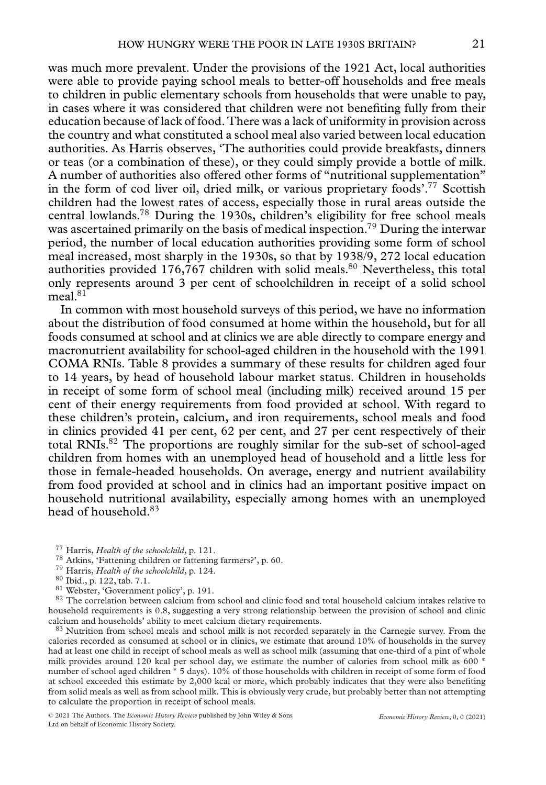was much more prevalent. Under the provisions of the 1921 Act, local authorities were able to provide paying school meals to better-off households and free meals to children in public elementary schools from households that were unable to pay, in cases where it was considered that children were not benefiting fully from their education because of lack of food. There was a lack of uniformity in provision across the country and what constituted a school meal also varied between local education authorities. As Harris observes, 'The authorities could provide breakfasts, dinners or teas (or a combination of these), or they could simply provide a bottle of milk. A number of authorities also offered other forms of "nutritional supplementation" in the form of cod liver oil, dried milk, or various proprietary foods'.77 Scottish children had the lowest rates of access, especially those in rural areas outside the central lowlands.<sup>78</sup> During the 1930s, children's eligibility for free school meals was ascertained primarily on the basis of medical inspection.<sup>79</sup> During the interwar period, the number of local education authorities providing some form of school meal increased, most sharply in the 1930s, so that by 1938/9, 272 local education authorities provided 176,767 children with solid meals.<sup>80</sup> Nevertheless, this total only represents around 3 per cent of schoolchildren in receipt of a solid school  $meal.<sup>81</sup>$ 

In common with most household surveys of this period, we have no information about the distribution of food consumed at home within the household, but for all foods consumed at school and at clinics we are able directly to compare energy and macronutrient availability for school-aged children in the household with the 1991 COMA RNIs. Table 8 provides a summary of these results for children aged four to 14 years, by head of household labour market status. Children in households in receipt of some form of school meal (including milk) received around 15 per cent of their energy requirements from food provided at school. With regard to these children's protein, calcium, and iron requirements, school meals and food in clinics provided 41 per cent, 62 per cent, and 27 per cent respectively of their total RNIs. $82$  The proportions are roughly similar for the sub-set of school-aged children from homes with an unemployed head of household and a little less for those in female-headed households. On average, energy and nutrient availability from food provided at school and in clinics had an important positive impact on household nutritional availability, especially among homes with an unemployed head of household.83

- 
- 
- 
- 

<sup>77</sup> Harris, *Health of the schoolchild*, p. 121.<br><sup>78</sup> Atkins, 'Fattening children or fattening farmers?', p. 60.<br><sup>79</sup> Harris, *Health of the schoolchild*, p. 124.<br><sup>80</sup> Ibid., p. 122, tab. 7.1.<br><sup>81</sup> Webster, 'Government p household requirements is 0.8, suggesting a very strong relationship between the provision of school and clinic

<sup>83</sup> Nutrition from school meals and school milk is not recorded separately in the Carnegie survey. From the calories recorded as consumed at school or in clinics, we estimate that around 10% of households in the survey had at least one child in receipt of school meals as well as school milk (assuming that one-third of a pint of whole milk provides around 120 kcal per school day, we estimate the number of calories from school milk as 600 <sup>∗</sup> number of school aged children ∗ 5 days). 10% of those households with children in receipt of some form of food at school exceeded this estimate by 2,000 kcal or more, which probably indicates that they were also benefiting from solid meals as well as from school milk. This is obviously very crude, but probably better than not attempting to calculate the proportion in receipt of school meals.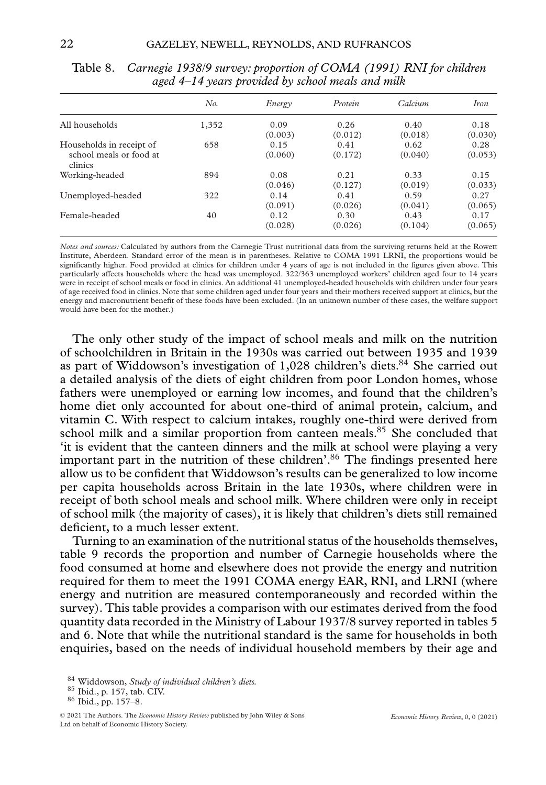|                                                                | No.   | Energy          | Protein         | <i>Calcium</i>  | <i>Iron</i>     |
|----------------------------------------------------------------|-------|-----------------|-----------------|-----------------|-----------------|
| All households                                                 | 1,352 | 0.09<br>(0.003) | 0.26<br>(0.012) | 0.40<br>(0.018) | 0.18<br>(0.030) |
| Households in receipt of<br>school meals or food at<br>clinics | 658   | 0.15<br>(0.060) | 0.41<br>(0.172) | 0.62<br>(0.040) | 0.28<br>(0.053) |
| Working-headed                                                 | 894   | 0.08<br>(0.046) | 0.21<br>(0.127) | 0.33<br>(0.019) | 0.15<br>(0.033) |
| Unemployed-headed                                              | 322   | 0.14<br>(0.091) | 0.41<br>(0.026) | 0.59<br>(0.041) | 0.27<br>(0.065) |
| Female-headed                                                  | 40    | 0.12<br>(0.028) | 0.30<br>(0.026) | 0.43<br>(0.104) | 0.17<br>(0.065) |

Table 8. *Carnegie 1938/9 survey: proportion of COMA (1991) RNI for children aged 4–14 years provided by school meals and milk*

*Notes and sources:* Calculated by authors from the Carnegie Trust nutritional data from the surviving returns held at the Rowett Institute, Aberdeen. Standard error of the mean is in parentheses. Relative to COMA 1991 LRNI, the proportions would be significantly higher. Food provided at clinics for children under 4 years of age is not included in the figures given above. This particularly affects households where the head was unemployed. 322/363 unemployed workers' children aged four to 14 years were in receipt of school meals or food in clinics. An additional 41 unemployed-headed households with children under four years of age received food in clinics. Note that some children aged under four years and their mothers received support at clinics, but the energy and macronutrient benefit of these foods have been excluded. (In an unknown number of these cases, the welfare support would have been for the mother.)

The only other study of the impact of school meals and milk on the nutrition of schoolchildren in Britain in the 1930s was carried out between 1935 and 1939 as part of Widdowson's investigation of  $1,028$  children's diets.<sup>84</sup> She carried out a detailed analysis of the diets of eight children from poor London homes, whose fathers were unemployed or earning low incomes, and found that the children's home diet only accounted for about one-third of animal protein, calcium, and vitamin C. With respect to calcium intakes, roughly one-third were derived from school milk and a similar proportion from canteen meals.<sup>85</sup> She concluded that 'it is evident that the canteen dinners and the milk at school were playing a very important part in the nutrition of these children'.<sup>86</sup> The findings presented here allow us to be confident that Widdowson's results can be generalized to low income per capita households across Britain in the late 1930s, where children were in receipt of both school meals and school milk. Where children were only in receipt of school milk (the majority of cases), it is likely that children's diets still remained deficient, to a much lesser extent.

Turning to an examination of the nutritional status of the households themselves, table 9 records the proportion and number of Carnegie households where the food consumed at home and elsewhere does not provide the energy and nutrition required for them to meet the 1991 COMA energy EAR, RNI, and LRNI (where energy and nutrition are measured contemporaneously and recorded within the survey). This table provides a comparison with our estimates derived from the food quantity data recorded in the Ministry of Labour 1937/8 survey reported in tables 5 and 6. Note that while the nutritional standard is the same for households in both enquiries, based on the needs of individual household members by their age and

<sup>84</sup> Widdowson, *Study of individual children's diets.* <sup>85</sup> Ibid., p. 157, tab. CIV. <sup>86</sup> Ibid., pp. 157–8.

<sup>© 2021</sup> The Authors. The *Economic History Review* published by John Wiley & Sons Ltd on behalf of Economic History Society.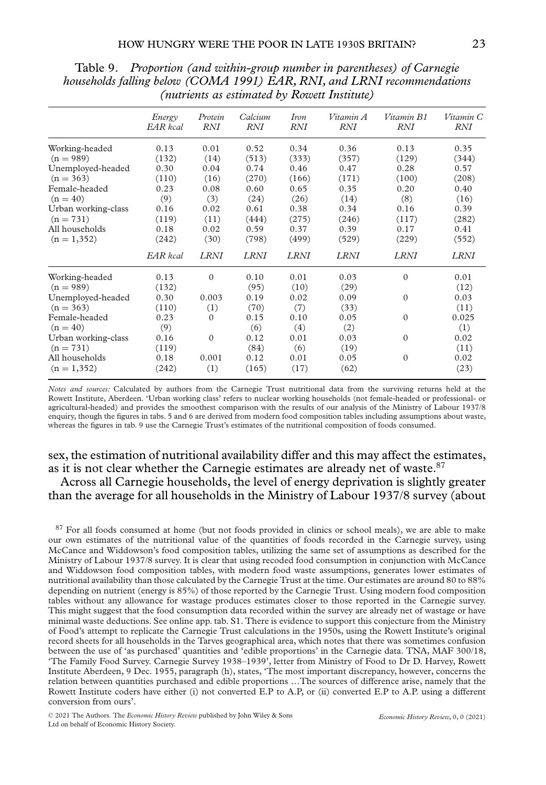|                     | Energy<br>EAR kcal | Protein<br><b>RNI</b> | Calcium<br><b>RNI</b> | Iron<br><b>RNI</b> | Vitamin A<br><b>RNI</b> | Vitamin B1<br><b>RNI</b> | Vitamin C<br><b>RNI</b> |
|---------------------|--------------------|-----------------------|-----------------------|--------------------|-------------------------|--------------------------|-------------------------|
| Working-headed      | 0.13               | 0.01                  | 0.52                  | 0.34               | 0.36                    | 0.13                     | 0.35                    |
| $(n = 989)$         | (132)              | (14)                  | (513)                 | (333)              | (357)                   | (129)                    | (344)                   |
| Unemployed-headed   | 0.30               | 0.04                  | 0.74                  | 0.46               | 0.47                    | 0.28                     | 0.57                    |
| $(n = 363)$         | (110)              | (16)                  | (270)                 | (166)              | (171)                   | (100)                    | (208)                   |
| Female-headed       | 0.23               | 0.08                  | 0.60                  | 0.65               | 0.35                    | 0.20                     | 0.40                    |
| $(n = 40)$          | (9)                | (3)                   | (24)                  | (26)               | (14)                    | (8)                      | (16)                    |
| Urban working-class | 0.16               | 0.02                  | 0.61                  | 0.38               | 0.34                    | 0.16                     | 0.39                    |
| $(n = 731)$         | (119)              | (11)                  | (444)                 | (275)              | (246)                   | (117)                    | (282)                   |
| All households      | 0.18               | 0.02                  | 0.59                  | 0.37               | 0.39                    | 0.17                     | 0.41                    |
| $(n = 1,352)$       | (242)              | (30)                  | (798)                 | (499)              | (529)                   | (229)                    | (552)                   |
|                     | EAR kcal           | <b>LRNI</b>           | <b>LRNI</b>           | <b>LRNI</b>        | <b>LRNI</b>             | <b>LRNI</b>              | <b>LRNI</b>             |
| Working-headed      | 0.13               | $\Omega$              | 0.10                  | 0.01               | 0.03                    | $\mathbf{0}$             | 0.01                    |
| $(n = 989)$         | (132)              |                       | (95)                  | (10)               | (29)                    |                          | (12)                    |
| Unemployed-headed   | 0.30               | 0.003                 | 0.19                  | 0.02               | 0.09                    | $\Omega$                 | 0.03                    |
| $(n = 363)$         | (110)              | (1)                   | (70)                  | (7)                | (33)                    |                          | (11)                    |
| Female-headed       | 0.23               | $\Omega$              | 0.15                  | 0.10               | 0.05                    | $\Omega$                 | 0.025                   |
| $(n = 40)$          | (9)                |                       | (6)                   | (4)                | (2)                     |                          | (1)                     |
| Urban working-class | 0.16               | $\Omega$              | 0.12                  | 0.01               | 0.03                    | $\Omega$                 | 0.02                    |
| $(n = 731)$         | (119)              |                       | (84)                  | (6)                | (19)                    |                          | (11)                    |
| All households      | 0.18               | 0.001                 | 0.12                  | 0.01               | 0.05                    | $\Omega$                 | 0.02                    |
| $(n = 1,352)$       | (242)              | (1)                   | (165)                 | (17)               | (62)                    |                          | (23)                    |

Table 9. *Proportion (and within-group number in parentheses) of Carnegie households falling below (COMA 1991) EAR, RNI, and LRNI recommendations (nutrients as estimated by Rowett Institute)*

*Notes and sources:* Calculated by authors from the Carnegie Trust nutritional data from the surviving returns held at the Rowett Institute, Aberdeen. 'Urban working class' refers to nuclear working households (not female-headed or professional- or agricultural-headed) and provides the smoothest comparison with the results of our analysis of the Ministry of Labour 1937/8 enquiry, though the figures in tabs. 5 and 6 are derived from modern food composition tables including assumptions about waste, whereas the figures in tab. 9 use the Carnegie Trust's estimates of the nutritional composition of foods consumed.

## sex, the estimation of nutritional availability differ and this may affect the estimates, as it is not clear whether the Carnegie estimates are already net of waste.<sup>87</sup>

Across all Carnegie households, the level of energy deprivation is slightly greater than the average for all households in the Ministry of Labour 1937/8 survey (about

<sup>87</sup> For all foods consumed at home (but not foods provided in clinics or school meals), we are able to make our own estimates of the nutritional value of the quantities of foods recorded in the Carnegie survey, using McCance and Widdowson's food composition tables, utilizing the same set of assumptions as described for the Ministry of Labour 1937/8 survey. It is clear that using recoded food consumption in conjunction with McCance and Widdowson food composition tables, with modern food waste assumptions, generates lower estimates of nutritional availability than those calculated by the Carnegie Trust at the time. Our estimates are around 80 to 88% depending on nutrient (energy is 85%) of those reported by the Carnegie Trust. Using modern food composition tables without any allowance for wastage produces estimates closer to those reported in the Carnegie survey. This might suggest that the food consumption data recorded within the survey are already net of wastage or have minimal waste deductions. See online app. tab. S1. There is evidence to support this conjecture from the Ministry of Food's attempt to replicate the Carnegie Trust calculations in the 1950s, using the Rowett Institute's original record sheets for all households in the Tarves geographical area, which notes that there was sometimes confusion between the use of 'as purchased' quantities and 'edible proportions' in the Carnegie data. TNA, MAF 300/18, 'The Family Food Survey. Carnegie Survey 1938–1939', letter from Ministry of Food to Dr D. Harvey, Rowett Institute Aberdeen, 9 Dec. 1955, paragraph (h), states, 'The most important discrepancy, however, concerns the relation between quantities purchased and edible proportions …The sources of difference arise, namely that the Rowett Institute coders have either (i) not converted E.P to A.P, or (ii) converted E.P to A.P. using a different conversion from ours'.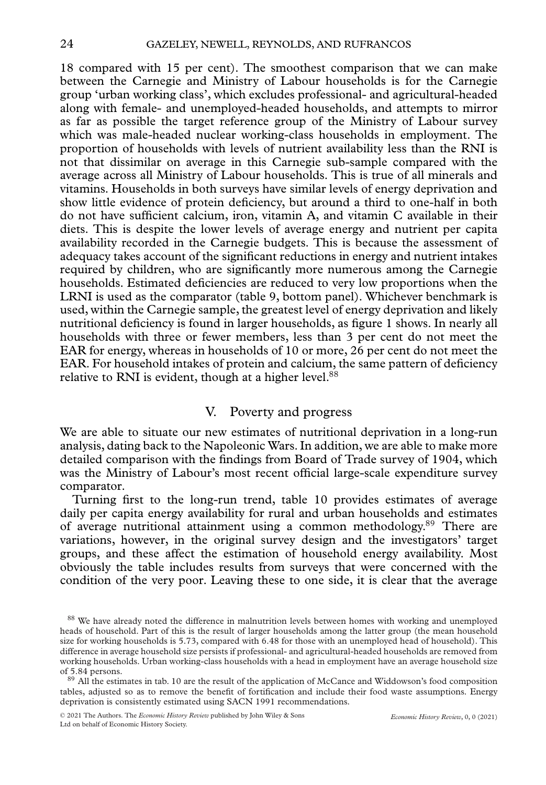18 compared with 15 per cent). The smoothest comparison that we can make between the Carnegie and Ministry of Labour households is for the Carnegie group 'urban working class', which excludes professional- and agricultural-headed along with female- and unemployed-headed households, and attempts to mirror as far as possible the target reference group of the Ministry of Labour survey which was male-headed nuclear working-class households in employment. The proportion of households with levels of nutrient availability less than the RNI is not that dissimilar on average in this Carnegie sub-sample compared with the average across all Ministry of Labour households. This is true of all minerals and vitamins. Households in both surveys have similar levels of energy deprivation and show little evidence of protein deficiency, but around a third to one-half in both do not have sufficient calcium, iron, vitamin A, and vitamin C available in their diets. This is despite the lower levels of average energy and nutrient per capita availability recorded in the Carnegie budgets. This is because the assessment of adequacy takes account of the significant reductions in energy and nutrient intakes required by children, who are significantly more numerous among the Carnegie households. Estimated deficiencies are reduced to very low proportions when the LRNI is used as the comparator (table 9, bottom panel). Whichever benchmark is used, within the Carnegie sample, the greatest level of energy deprivation and likely nutritional deficiency is found in larger households, as figure 1 shows. In nearly all households with three or fewer members, less than 3 per cent do not meet the EAR for energy, whereas in households of 10 or more, 26 per cent do not meet the EAR. For household intakes of protein and calcium, the same pattern of deficiency relative to RNI is evident, though at a higher level.<sup>88</sup>

#### V. Poverty and progress

We are able to situate our new estimates of nutritional deprivation in a long-run analysis, dating back to the Napoleonic Wars. In addition, we are able to make more detailed comparison with the findings from Board of Trade survey of 1904, which was the Ministry of Labour's most recent official large-scale expenditure survey comparator.

Turning first to the long-run trend, table 10 provides estimates of average daily per capita energy availability for rural and urban households and estimates of average nutritional attainment using a common methodology.89 There are variations, however, in the original survey design and the investigators' target groups, and these affect the estimation of household energy availability. Most obviously the table includes results from surveys that were concerned with the condition of the very poor. Leaving these to one side, it is clear that the average

<sup>88</sup> We have already noted the difference in malnutrition levels between homes with working and unemployed heads of household. Part of this is the result of larger households among the latter group (the mean household size for working households is 5.73, compared with 6.48 for those with an unemployed head of household). This difference in average household size persists if professional- and agricultural-headed households are removed from working households. Urban working-class households with a head in employment have an average household size of 5.84 persons.<br><sup>89</sup> All the estimates in tab. 10 are the result of the application of McCance and Widdowson's food composition

tables, adjusted so as to remove the benefit of fortification and include their food waste assumptions. Energy deprivation is consistently estimated using SACN 1991 recommendations.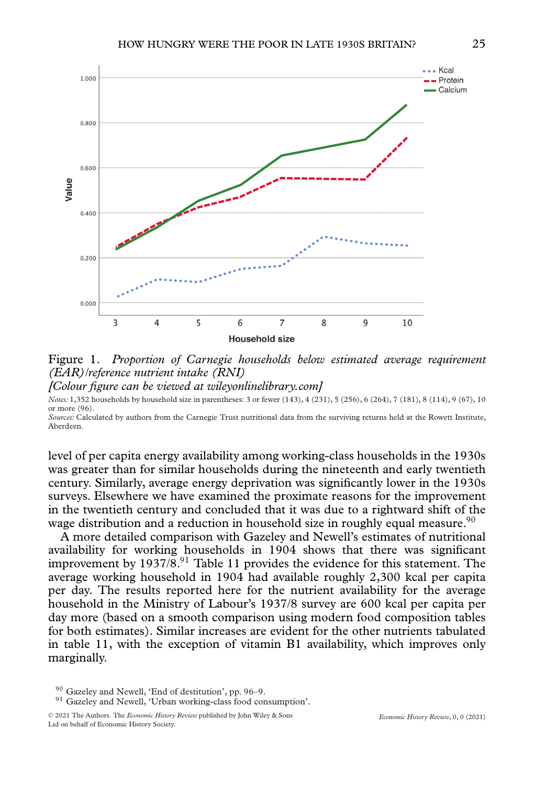

Figure 1. *Proportion of Carnegie households below estimated average requirement (EAR)/reference nutrient intake (RNI)*

*[Colour figure can be viewed at wileyonlinelibrary.com]*

*Notes:* 1,352 households by household size in parentheses: 3 or fewer (143), 4 (231), 5 (256), 6 (264), 7 (181), 8 (114), 9 (67), 10 or more (96).

*Sources:* Calculated by authors from the Carnegie Trust nutritional data from the surviving returns held at the Rowett Institute, Aberdeen.

level of per capita energy availability among working-class households in the 1930s was greater than for similar households during the nineteenth and early twentieth century. Similarly, average energy deprivation was significantly lower in the 1930s surveys. Elsewhere we have examined the proximate reasons for the improvement in the twentieth century and concluded that it was due to a rightward shift of the wage distribution and a reduction in household size in roughly equal measure.<sup>90</sup>

A more detailed comparison with Gazeley and Newell's estimates of nutritional availability for working households in 1904 shows that there was significant improvement by  $1937/8^{91}$  Table 11 provides the evidence for this statement. The average working household in 1904 had available roughly 2,300 kcal per capita per day. The results reported here for the nutrient availability for the average household in the Ministry of Labour's 1937/8 survey are 600 kcal per capita per day more (based on a smooth comparison using modern food composition tables for both estimates). Similar increases are evident for the other nutrients tabulated in table 11, with the exception of vitamin B1 availability, which improves only marginally.

 $90$  Gazeley and Newell, 'End of destitution', pp. 96–9.<br> $91$  Gazelev and Newell, 'Urban working-class food consumption'.

<sup>© 2021</sup> The Authors. The *Economic History Review* published by John Wiley & Sons Ltd on behalf of Economic History Society.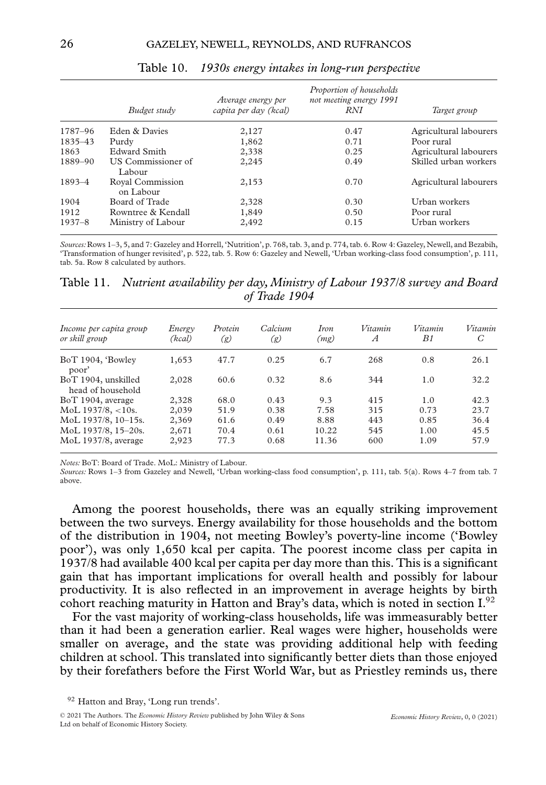|            | Budget study                  | Average energy per<br>capita per day (kcal) | Proportion of households<br>not meeting energy 1991<br><b>RNI</b> | Target group           |
|------------|-------------------------------|---------------------------------------------|-------------------------------------------------------------------|------------------------|
| 1787-96    | Eden & Davies                 | 2,127                                       | 0.47                                                              | Agricultural labourers |
| 1835-43    | Purdy                         | 1,862                                       | 0.71                                                              | Poor rural             |
| 1863       | Edward Smith                  | 2,338                                       | 0.25                                                              | Agricultural labourers |
| 1889-90    | US Commissioner of<br>Labour  | 2,245                                       | 0.49                                                              | Skilled urban workers  |
| 1893-4     | Royal Commission<br>on Labour | 2,153                                       | 0.70                                                              | Agricultural labourers |
| 1904       | Board of Trade                | 2,328                                       | 0.30                                                              | Urban workers          |
| 1912       | Rowntree & Kendall            | 1,849                                       | 0.50                                                              | Poor rural             |
| $1937 - 8$ | Ministry of Labour            | 2,492                                       | 0.15                                                              | Urban workers          |

Table 10. *1930s energy intakes in long-run perspective*

*Sources:*Rows 1–3, 5, and 7: Gazeley and Horrell, 'Nutrition', p. 768, tab. 3, and p. 774, tab. 6. Row 4: Gazeley, Newell, and Bezabih, 'Transformation of hunger revisited', p. 522, tab. 5. Row 6: Gazeley and Newell, 'Urban working-class food consumption', p. 111, tab. 5a. Row 8 calculated by authors.

Table 11. *Nutrient availability per day, Ministry of Labour 1937/8 survey and Board of Trade 1904*

| Income per capita group<br>or skill group | Energy<br>(kcal) | Protein<br>(g) | Calcium<br>(g) | <i>Iron</i><br>(mg) | Vitamin<br>$\overline{A}$ | Vitamin<br>B1 | Vitamin<br>C |
|-------------------------------------------|------------------|----------------|----------------|---------------------|---------------------------|---------------|--------------|
| BoT 1904, 'Bowley<br>poor'                | 1,653            | 47.7           | 0.25           | 6.7                 | 268                       | 0.8           | 26.1         |
| BoT 1904, unskilled<br>head of household  | 2,028            | 60.6           | 0.32           | 8.6                 | 344                       | 1.0           | 32.2         |
| BoT 1904, average                         | 2,328            | 68.0           | 0.43           | 9.3                 | 415                       | 1.0           | 42.3         |
| $MoL$ 1937/8, <10s.                       | 2,039            | 51.9           | 0.38           | 7.58                | 315                       | 0.73          | 23.7         |
| MoL 1937/8, 10-15s.                       | 2,369            | 61.6           | 0.49           | 8.88                | 443                       | 0.85          | 36.4         |
| MoL 1937/8, 15-20s.                       | 2,671            | 70.4           | 0.61           | 10.22               | 545                       | 1.00          | 45.5         |
| MoL 1937/8, average                       | 2,923            | 77.3           | 0.68           | 11.36               | 600                       | 1.09          | 57.9         |

*Notes:* BoT: Board of Trade. MoL: Ministry of Labour.

*Sources:* Rows 1–3 from Gazeley and Newell, 'Urban working-class food consumption', p. 111, tab. 5(a). Rows 4–7 from tab. 7 above.

Among the poorest households, there was an equally striking improvement between the two surveys. Energy availability for those households and the bottom of the distribution in 1904, not meeting Bowley's poverty-line income ('Bowley poor'), was only 1,650 kcal per capita. The poorest income class per capita in 1937/8 had available 400 kcal per capita per day more than this. This is a significant gain that has important implications for overall health and possibly for labour productivity. It is also reflected in an improvement in average heights by birth cohort reaching maturity in Hatton and Bray's data, which is noted in section  $I^{92}$ .

For the vast majority of working-class households, life was immeasurably better than it had been a generation earlier. Real wages were higher, households were smaller on average, and the state was providing additional help with feeding children at school. This translated into significantly better diets than those enjoyed by their forefathers before the First World War, but as Priestley reminds us, there

<sup>&</sup>lt;sup>92</sup> Hatton and Bray, 'Long run trends'.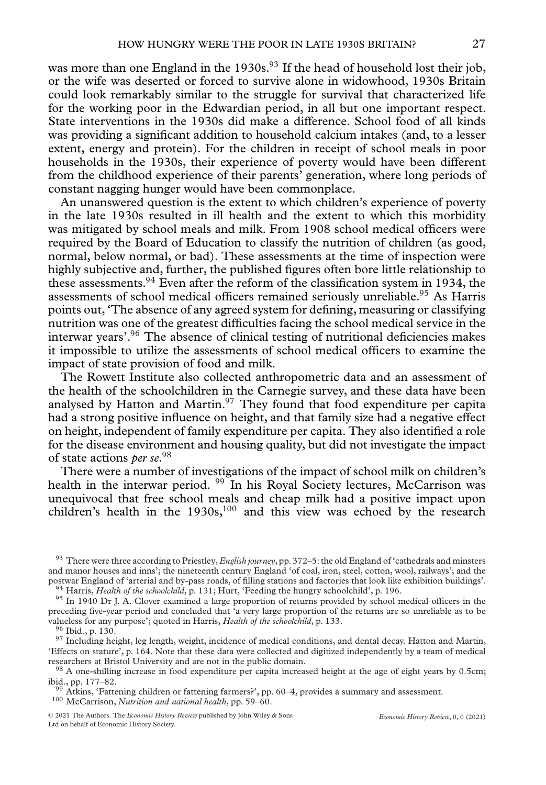was more than one England in the 1930s.<sup>93</sup> If the head of household lost their job, or the wife was deserted or forced to survive alone in widowhood, 1930s Britain could look remarkably similar to the struggle for survival that characterized life for the working poor in the Edwardian period, in all but one important respect. State interventions in the 1930s did make a difference. School food of all kinds was providing a significant addition to household calcium intakes (and, to a lesser extent, energy and protein). For the children in receipt of school meals in poor households in the 1930s, their experience of poverty would have been different from the childhood experience of their parents' generation, where long periods of constant nagging hunger would have been commonplace.

An unanswered question is the extent to which children's experience of poverty in the late 1930s resulted in ill health and the extent to which this morbidity was mitigated by school meals and milk. From 1908 school medical officers were required by the Board of Education to classify the nutrition of children (as good, normal, below normal, or bad). These assessments at the time of inspection were highly subjective and, further, the published figures often bore little relationship to these assessments.<sup>94</sup> Even after the reform of the classification system in 1934, the assessments of school medical officers remained seriously unreliable.<sup>95</sup> As Harris points out, 'The absence of any agreed system for defining, measuring or classifying nutrition was one of the greatest difficulties facing the school medical service in the interwar years'.96 The absence of clinical testing of nutritional deficiencies makes it impossible to utilize the assessments of school medical officers to examine the impact of state provision of food and milk.

The Rowett Institute also collected anthropometric data and an assessment of the health of the schoolchildren in the Carnegie survey, and these data have been analysed by Hatton and Martin.<sup>97</sup> They found that food expenditure per capita had a strong positive influence on height, and that family size had a negative effect on height, independent of family expenditure per capita. They also identified a role for the disease environment and housing quality, but did not investigate the impact of state actions *per se*. 98

There were a number of investigations of the impact of school milk on children's health in the interwar period. <sup>99</sup> In his Royal Society lectures, McCarrison was unequivocal that free school meals and cheap milk had a positive impact upon children's health in the  $1930s$ ,<sup>100</sup> and this view was echoed by the research

<sup>93</sup> There were three according to Priestley,*English journey*, pp. 372–5: the old England of 'cathedrals and minsters and manor houses and inns'; the nineteenth century England 'of coal, iron, steel, cotton, wool, railways'; and the postwar England of 'arterial and by-pass roads, of filling stations and factories that look like exhibition

<sup>&</sup>lt;sup>94</sup> Harris, *Health of the schoolchild*, p. 131; Hurt, 'Feeding the hungry schoolchild', p. 196.<br><sup>95</sup> In 1940 Dr J. A. Clover examined a large proportion of returns provided by school medical officers in the

preceding five-year period and concluded that 'a very large proportion of the returns are so unreliable as to be valueless for any purpose'; quoted in Harris, *Health of the schoolchild*, p. 133.

<sup>&</sup>lt;sup>96</sup> Ibid., p. 130.<br><sup>97</sup> Including height, leg length, weight, incidence of medical conditions, and dental decay. Hatton and Martin, 'Effects on stature', p. 164. Note that these data were collected and digitized independently by a team of medical

<sup>&</sup>lt;sup>98</sup> A one-shilling increase in food expenditure per capita increased height at the age of eight years by 0.5cm; ibid., pp. 177–82.

<sup>&</sup>lt;sup>99</sup> Atkins, 'Fattening children or fattening farmers?', pp. 60–4, provides a summary and assessment. <sup>100</sup> McCarrison, *Nutrition and national health*, pp. 59–60.

<sup>© 2021</sup> The Authors. The *Economic History Review* published by John Wiley & Sons Ltd on behalf of Economic History Society.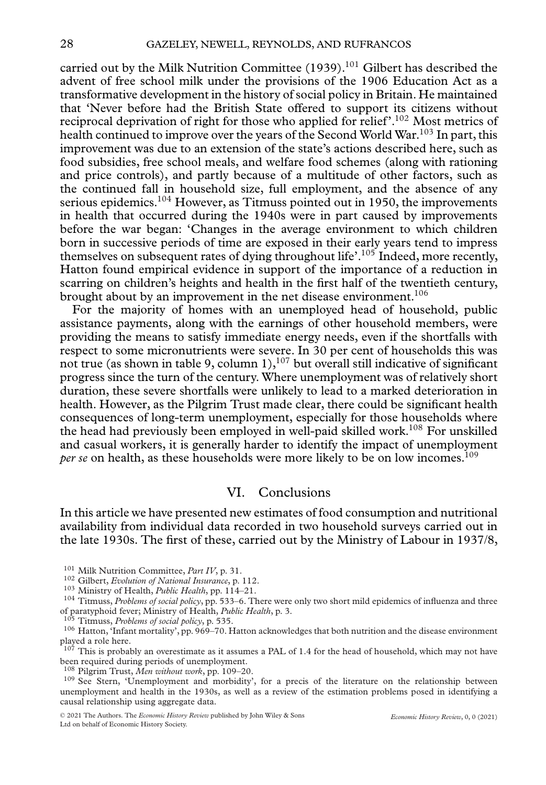carried out by the Milk Nutrition Committee  $(1939).<sup>101</sup>$  Gilbert has described the advent of free school milk under the provisions of the 1906 Education Act as a transformative development in the history of social policy in Britain. He maintained that 'Never before had the British State offered to support its citizens without reciprocal deprivation of right for those who applied for relief'.102 Most metrics of health continued to improve over the years of the Second World War.103 In part, this improvement was due to an extension of the state's actions described here, such as food subsidies, free school meals, and welfare food schemes (along with rationing and price controls), and partly because of a multitude of other factors, such as the continued fall in household size, full employment, and the absence of any serious epidemics.<sup>104</sup> However, as Titmuss pointed out in 1950, the improvements in health that occurred during the 1940s were in part caused by improvements before the war began: 'Changes in the average environment to which children born in successive periods of time are exposed in their early years tend to impress themselves on subsequent rates of dying throughout life'.<sup>105</sup> Indeed, more recently, Hatton found empirical evidence in support of the importance of a reduction in scarring on children's heights and health in the first half of the twentieth century, brought about by an improvement in the net disease environment.<sup>106</sup>

For the majority of homes with an unemployed head of household, public assistance payments, along with the earnings of other household members, were providing the means to satisfy immediate energy needs, even if the shortfalls with respect to some micronutrients were severe. In 30 per cent of households this was not true (as shown in table 9, column 1),<sup>107</sup> but overall still indicative of significant progress since the turn of the century. Where unemployment was of relatively short duration, these severe shortfalls were unlikely to lead to a marked deterioration in health. However, as the Pilgrim Trust made clear, there could be significant health consequences of long-term unemployment, especially for those households where the head had previously been employed in well-paid skilled work.<sup>108</sup> For unskilled and casual workers, it is generally harder to identify the impact of unemployment *per se* on health, as these households were more likely to be on low incomes.<sup>109</sup>

### VI. Conclusions

In this article we have presented new estimates of food consumption and nutritional availability from individual data recorded in two household surveys carried out in the late 1930s. The first of these, carried out by the Ministry of Labour in 1937/8,

 $10^7$  This is probably an overestimate as it assumes a PAL of 1.4 for the head of household, which may not have been required during periods of unemployment.<br><sup>108</sup> Pilgrim Trust, Men without work, pp. 109–20.

<sup>109</sup> See Stern, 'Unemployment and morbidity', for a precis of the literature on the relationship between unemployment and health in the 1930s, as well as a review of the estimation problems posed in identifying a causal relationship using aggregate data.

<sup>&</sup>lt;sup>101</sup> Milk Nutrition Committee, *Part IV*, p. 31.<br><sup>102</sup> Gilbert, *Evolution of National Insurance*, p. 112.<br><sup>103</sup> Ministry of Health, *Public Health*, pp. 114–21.<br><sup>104</sup> Titmuss, *Problems of social policy*, pp. 533–6. The

<sup>&</sup>lt;sup>105</sup> Titmuss, *Problems of social policy*, p. 535.<br><sup>105</sup> Titmuss, *Problems of social policy*, p. 535.<br><sup>106</sup> Hatton, 'Infant mortality', pp. 969–70. Hatton acknowledges that both nutrition and the disease environment played a role here.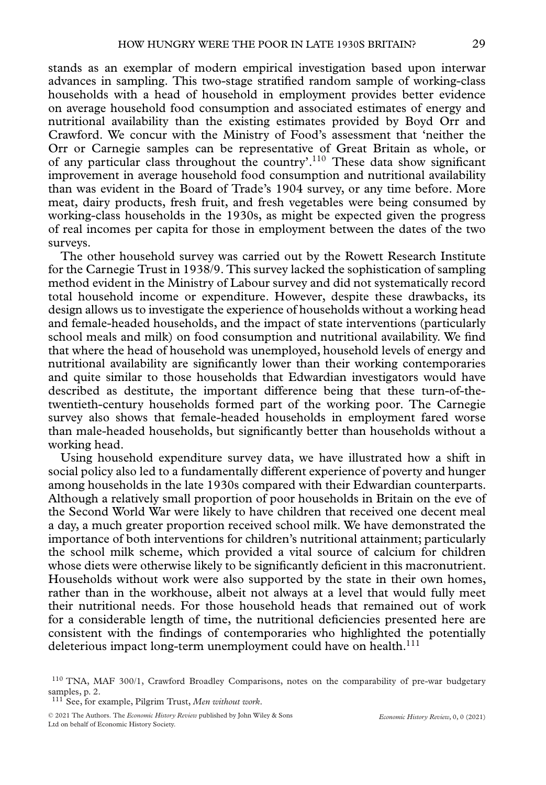stands as an exemplar of modern empirical investigation based upon interwar advances in sampling. This two-stage stratified random sample of working-class households with a head of household in employment provides better evidence on average household food consumption and associated estimates of energy and nutritional availability than the existing estimates provided by Boyd Orr and Crawford. We concur with the Ministry of Food's assessment that 'neither the Orr or Carnegie samples can be representative of Great Britain as whole, or of any particular class throughout the country'.110 These data show significant improvement in average household food consumption and nutritional availability than was evident in the Board of Trade's 1904 survey, or any time before. More meat, dairy products, fresh fruit, and fresh vegetables were being consumed by working-class households in the 1930s, as might be expected given the progress of real incomes per capita for those in employment between the dates of the two surveys.

The other household survey was carried out by the Rowett Research Institute for the Carnegie Trust in 1938/9. This survey lacked the sophistication of sampling method evident in the Ministry of Labour survey and did not systematically record total household income or expenditure. However, despite these drawbacks, its design allows us to investigate the experience of households without a working head and female-headed households, and the impact of state interventions (particularly school meals and milk) on food consumption and nutritional availability. We find that where the head of household was unemployed, household levels of energy and nutritional availability are significantly lower than their working contemporaries and quite similar to those households that Edwardian investigators would have described as destitute, the important difference being that these turn-of-thetwentieth-century households formed part of the working poor. The Carnegie survey also shows that female-headed households in employment fared worse than male-headed households, but significantly better than households without a working head.

Using household expenditure survey data, we have illustrated how a shift in social policy also led to a fundamentally different experience of poverty and hunger among households in the late 1930s compared with their Edwardian counterparts. Although a relatively small proportion of poor households in Britain on the eve of the Second World War were likely to have children that received one decent meal a day, a much greater proportion received school milk. We have demonstrated the importance of both interventions for children's nutritional attainment; particularly the school milk scheme, which provided a vital source of calcium for children whose diets were otherwise likely to be significantly deficient in this macronutrient. Households without work were also supported by the state in their own homes, rather than in the workhouse, albeit not always at a level that would fully meet their nutritional needs. For those household heads that remained out of work for a considerable length of time, the nutritional deficiencies presented here are consistent with the findings of contemporaries who highlighted the potentially deleterious impact long-term unemployment could have on health.<sup>111</sup>

<sup>111</sup> See, for example, Pilgrim Trust, *Men without work*.

<sup>110</sup> TNA, MAF 300/1, Crawford Broadley Comparisons, notes on the comparability of pre-war budgetary samples, p. 2.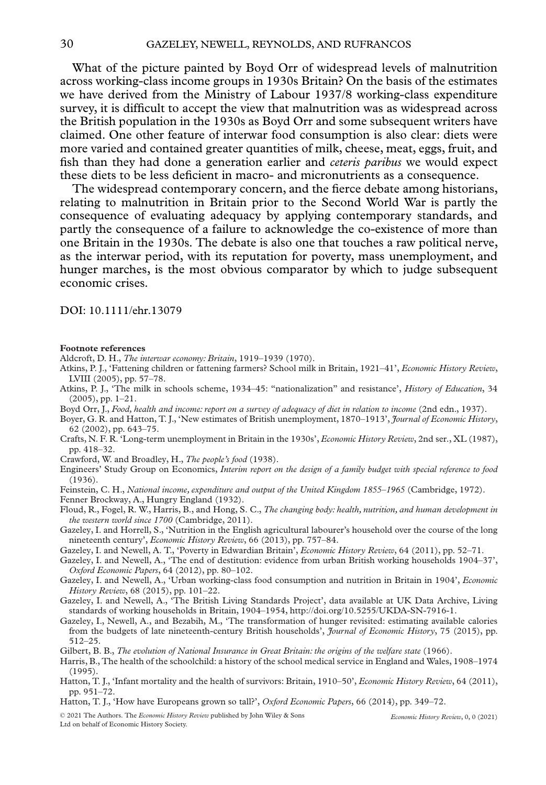What of the picture painted by Boyd Orr of widespread levels of malnutrition across working-class income groups in 1930s Britain? On the basis of the estimates we have derived from the Ministry of Labour 1937/8 working-class expenditure survey, it is difficult to accept the view that malnutrition was as widespread across the British population in the 1930s as Boyd Orr and some subsequent writers have claimed. One other feature of interwar food consumption is also clear: diets were more varied and contained greater quantities of milk, cheese, meat, eggs, fruit, and fish than they had done a generation earlier and *ceteris paribus* we would expect these diets to be less deficient in macro- and micronutrients as a consequence.

The widespread contemporary concern, and the fierce debate among historians, relating to malnutrition in Britain prior to the Second World War is partly the consequence of evaluating adequacy by applying contemporary standards, and partly the consequence of a failure to acknowledge the co-existence of more than one Britain in the 1930s. The debate is also one that touches a raw political nerve, as the interwar period, with its reputation for poverty, mass unemployment, and hunger marches, is the most obvious comparator by which to judge subsequent economic crises.

DOI: 10.1111/ehr.13079

#### **Footnote references**

- Aldcroft, D. H., *The interwar economy: Britain*, 1919–1939 (1970).
- Atkins, P. J., 'Fattening children or fattening farmers? School milk in Britain, 1921–41', *Economic History Review*, LVIII (2005), pp. 57–78.
- Atkins, P. J., 'The milk in schools scheme, 1934–45: "nationalization" and resistance', *History of Education*, 34 (2005), pp. 1–21.
- Boyd Orr, J., *Food, health and income: report on a survey of adequacy of diet in relation to income* (2nd edn., 1937).
- Boyer, G. R. and Hatton, T. J., 'New estimates of British unemployment, 1870–1913', *Journal of Economic History*, 62 (2002), pp. 643–75.
- Crafts, N. F. R. 'Long-term unemployment in Britain in the 1930s', *Economic History Review*, 2nd ser., XL (1987), pp. 418–32.
- Crawford, W. and Broadley, H., *The people's food* (1938).
- Engineers' Study Group on Economics, *Interim report on the design of a family budget with special reference to food* (1936).
- Feinstein, C. H., *National income, expenditure and output of the United Kingdom 1855–1965* (Cambridge, 1972).
- Fenner Brockway, A., Hungry England (1932).
- Floud, R., Fogel, R. W., Harris, B., and Hong, S. C., *The changing body: health, nutrition, and human development in the western world since 1700* (Cambridge, 2011).
- Gazeley, I. and Horrell, S., 'Nutrition in the English agricultural labourer's household over the course of the long nineteenth century', *Economic History Review*, 66 (2013), pp. 757–84.
- Gazeley, I. and Newell, A. T., 'Poverty in Edwardian Britain', *Economic History Review*, 64 (2011), pp. 52–71.
- Gazeley, I. and Newell, A., 'The end of destitution: evidence from urban British working households 1904–37', *Oxford Economic Papers*, 64 (2012), pp. 80–102.
- Gazeley, I. and Newell, A., 'Urban working-class food consumption and nutrition in Britain in 1904', *Economic History Review*, 68 (2015), pp. 101–22.
- Gazeley, I. and Newell, A., 'The British Living Standards Project', data available at UK Data Archive, Living standards of working households in Britain, 1904–1954, [http://doi.org/10.5255/UKDA-SN-7916-1.](http://doi.org/10.5255/UKDA-SN-7916-1)
- Gazeley, I., Newell, A., and Bezabih, M., 'The transformation of hunger revisited: estimating available calories from the budgets of late nineteenth-century British households', *Journal of Economic History*, 75 (2015), pp. 512–25.

Gilbert, B. B., *The evolution of National Insurance in Great Britain: the origins of the welfare state* (1966).

- Harris, B., The health of the schoolchild: a history of the school medical service in England and Wales, 1908–1974 (1995).
- Hatton, T. J., 'Infant mortality and the health of survivors: Britain, 1910–50', *Economic History Review*, 64 (2011), pp. 951–72.
- Hatton, T. J., 'How have Europeans grown so tall?', *Oxford Economic Papers*, 66 (2014), pp. 349–72.

© 2021 The Authors. The *Economic History Review* published by John Wiley & Sons Ltd on behalf of Economic History Society.

*Economic History Review*, 0, 0 (2021)